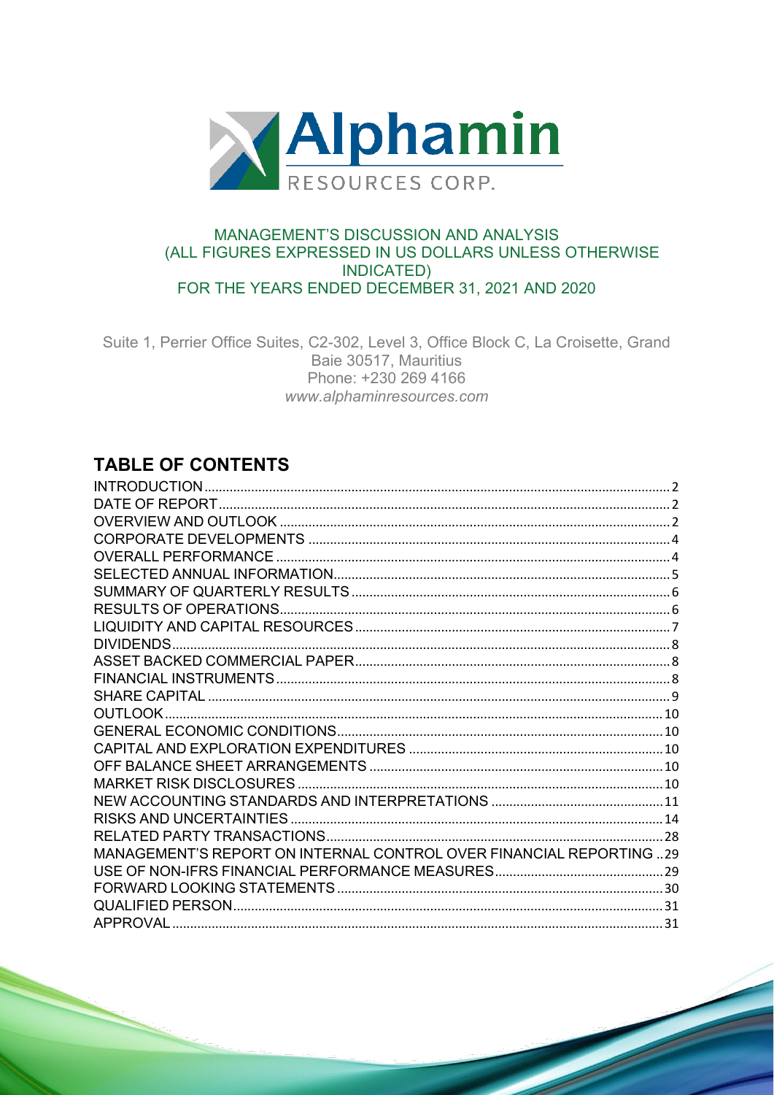

## **MANAGEMENT'S DISCUSSION AND ANALYSIS** (ALL FIGURES EXPRESSED IN US DOLLARS UNLESS OTHERWISE **INDICATED)** FOR THE YEARS ENDED DECEMBER 31, 2021 AND 2020

Suite 1, Perrier Office Suites, C2-302, Level 3, Office Block C, La Croisette, Grand Baie 30517, Mauritius Phone: +230 269 4166 www.alphaminresources.com

# **TABLE OF CONTENTS**

| MANAGEMENT'S REPORT ON INTERNAL CONTROL OVER FINANCIAL REPORTING 29 |  |
|---------------------------------------------------------------------|--|
|                                                                     |  |
|                                                                     |  |
|                                                                     |  |
| <b>APPROVAL</b>                                                     |  |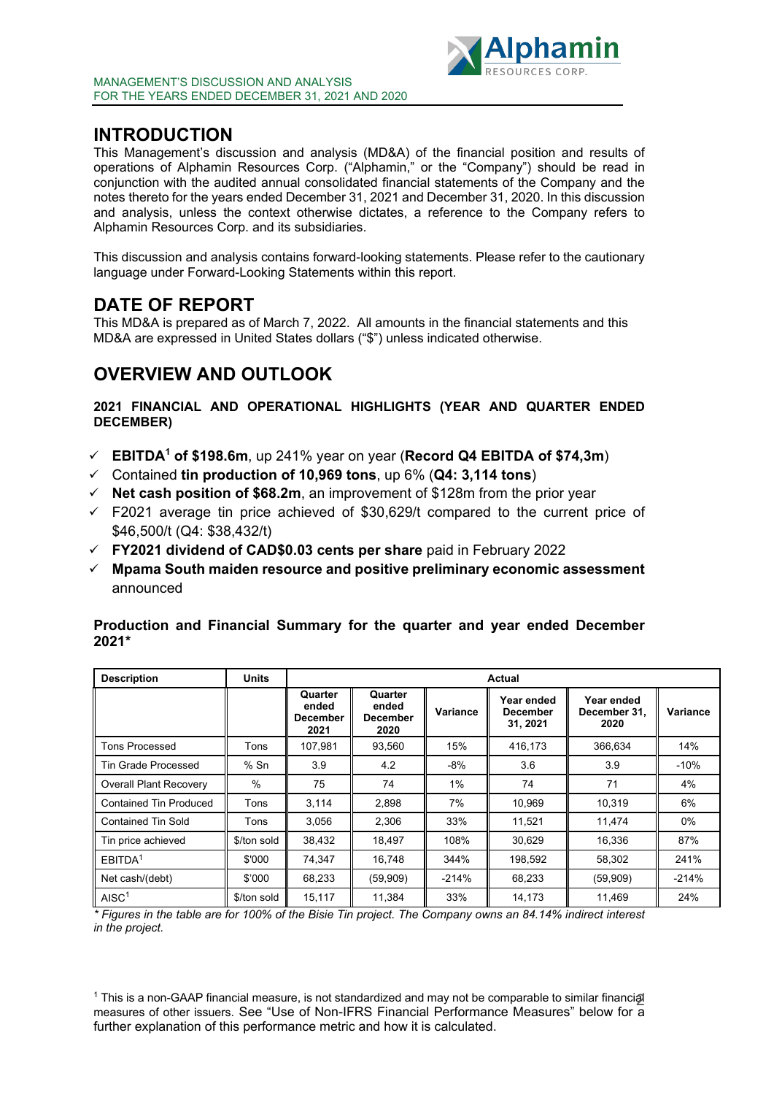

## <span id="page-1-0"></span>**INTRODUCTION**

This Management's discussion and analysis (MD&A) of the financial position and results of operations of Alphamin Resources Corp. ("Alphamin," or the "Company") should be read in conjunction with the audited annual consolidated financial statements of the Company and the notes thereto for the years ended December 31, 2021 and December 31, 2020. In this discussion and analysis, unless the context otherwise dictates, a reference to the Company refers to Alphamin Resources Corp. and its subsidiaries.

This discussion and analysis contains forward-looking statements. Please refer to the cautionary language under Forward-Looking Statements within this report.

# <span id="page-1-1"></span>**DATE OF REPORT**

This MD&A is prepared as of March 7, 2022. All amounts in the financial statements and this MD&A are expressed in United States dollars ("\$") unless indicated otherwise.

# <span id="page-1-2"></span>**OVERVIEW AND OUTLOOK**

### **2021 FINANCIAL AND OPERATIONAL HIGHLIGHTS (YEAR AND QUARTER ENDED DECEMBER)**

- **EBITDA1 of \$198.6m**, up 241% year on year (**Record Q4 EBITDA of \$74,3m**)
- Contained **tin production of 10,969 tons**, up 6% (**Q4: 3,114 tons**)
- **Net cash position of \$68.2m**, an improvement of \$128m from the prior year
- $\checkmark$  F2021 average tin price achieved of \$30,629/t compared to the current price of \$46,500/t (Q4: \$38,432/t)
- **FY2021 dividend of CAD\$0.03 cents per share** paid in February 2022
- **Mpama South maiden resource and positive preliminary economic assessment** announced

| <b>Description</b>            | <b>Units</b> |                                             | Actual                                      |          |                                           |                                    |          |  |  |
|-------------------------------|--------------|---------------------------------------------|---------------------------------------------|----------|-------------------------------------------|------------------------------------|----------|--|--|
|                               |              | Quarter<br>ended<br><b>December</b><br>2021 | Quarter<br>ended<br><b>December</b><br>2020 | Variance | Year ended<br><b>December</b><br>31, 2021 | Year ended<br>December 31,<br>2020 | Variance |  |  |
| Tons Processed                | Tons         | 107,981                                     | 93,560                                      | 15%      | 416,173                                   | 366,634                            | 14%      |  |  |
| Tin Grade Processed           | $%$ Sn       | 3.9                                         | 4.2                                         | $-8%$    | 3.6                                       | 3.9                                | $-10%$   |  |  |
| <b>Overall Plant Recovery</b> | %            | 75                                          | 74                                          | 1%       | 74                                        | 71                                 | 4%       |  |  |
| Contained Tin Produced        | Tons         | 3,114                                       | 2,898                                       | 7%       | 10,969                                    | 10,319                             | 6%       |  |  |
| <b>Contained Tin Sold</b>     | Tons         | 3,056                                       | 2,306                                       | 33%      | 11,521                                    | 11,474                             | $0\%$    |  |  |
| Tin price achieved            | \$/ton sold  | 38,432                                      | 18,497                                      | 108%     | 30,629                                    | 16,336                             | 87%      |  |  |
| EBITDA <sup>1</sup>           | \$'000       | 74.347                                      | 16,748                                      | 344%     | 198,592                                   | 58,302                             | 241%     |  |  |
| Net cash/(debt)               | \$'000       | 68.233                                      | (59,909)                                    | $-214%$  | 68,233                                    | (59,909)                           | $-214%$  |  |  |
| AISC <sup>1</sup>             | \$/ton sold  | 15,117                                      | 11,384                                      | 33%      | 14,173                                    | 11,469                             | 24%      |  |  |

**Production and Financial Summary for the quarter and year ended December 2021\***

*\* Figures in the table are for 100% of the Bisie Tin project. The Company owns an 84.14% indirect interest in the project.*

<sup>1</sup> This is a non-GAAP financial measure, is not standardized and may not be comparable to similar financial intervalsed and may not be comparable to similar financial measures of other issuers. See "Use of Non-IFRS Financial Performance Measures" below for a further explanation of this performance metric and how it is calculated.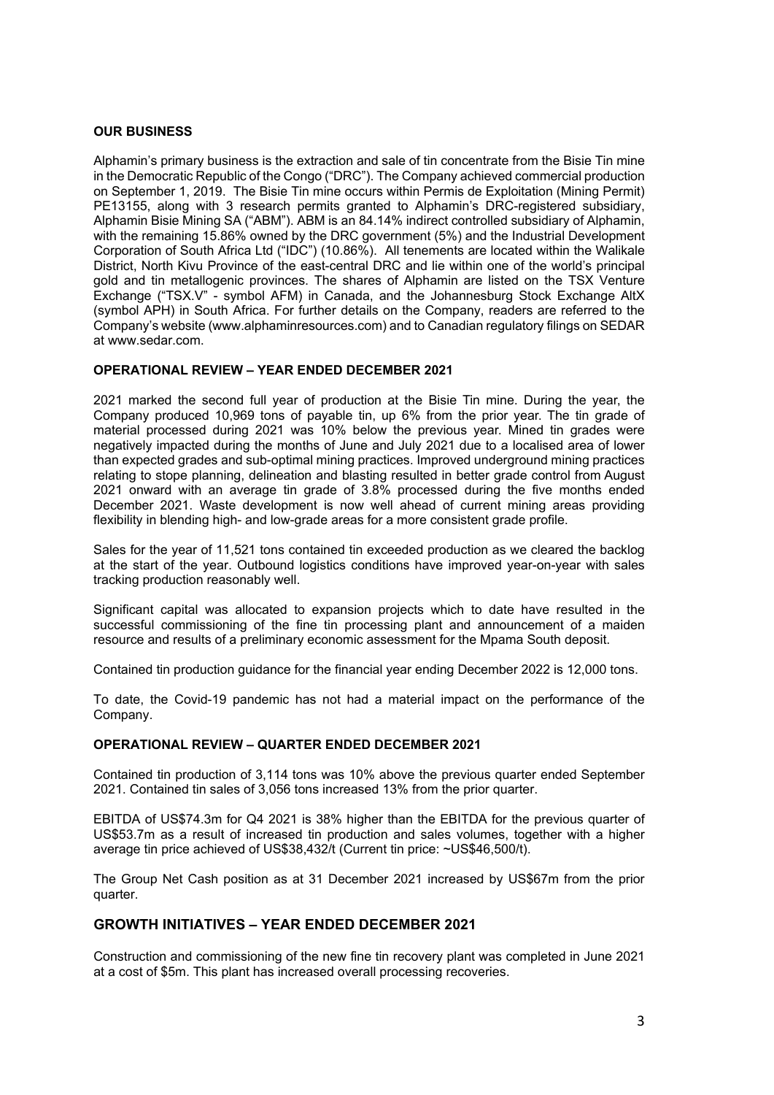#### **OUR BUSINESS**

Alphamin's primary business is the extraction and sale of tin concentrate from the Bisie Tin mine in the Democratic Republic of the Congo ("DRC"). The Company achieved commercial production on September 1, 2019. The Bisie Tin mine occurs within Permis de Exploitation (Mining Permit) PE13155, along with 3 research permits granted to Alphamin's DRC-registered subsidiary, Alphamin Bisie Mining SA ("ABM"). ABM is an 84.14% indirect controlled subsidiary of Alphamin, with the remaining 15.86% owned by the DRC government (5%) and the Industrial Development Corporation of South Africa Ltd ("IDC") (10.86%). All tenements are located within the Walikale District, North Kivu Province of the east-central DRC and lie within one of the world's principal gold and tin metallogenic provinces. The shares of Alphamin are listed on the TSX Venture Exchange ("TSX.V" - symbol AFM) in Canada, and the Johannesburg Stock Exchange AltX (symbol APH) in South Africa. For further details on the Company, readers are referred to the Company's website (www.alphaminresources.com) and to Canadian regulatory filings on SEDAR at www.sedar.com.

#### **OPERATIONAL REVIEW – YEAR ENDED DECEMBER 2021**

2021 marked the second full year of production at the Bisie Tin mine. During the year, the Company produced 10,969 tons of payable tin, up 6% from the prior year. The tin grade of material processed during 2021 was 10% below the previous year. Mined tin grades were negatively impacted during the months of June and July 2021 due to a localised area of lower than expected grades and sub-optimal mining practices. Improved underground mining practices relating to stope planning, delineation and blasting resulted in better grade control from August 2021 onward with an average tin grade of 3.8% processed during the five months ended December 2021. Waste development is now well ahead of current mining areas providing flexibility in blending high- and low-grade areas for a more consistent grade profile.

Sales for the year of 11,521 tons contained tin exceeded production as we cleared the backlog at the start of the year. Outbound logistics conditions have improved year-on-year with sales tracking production reasonably well.

Significant capital was allocated to expansion projects which to date have resulted in the successful commissioning of the fine tin processing plant and announcement of a maiden resource and results of a preliminary economic assessment for the Mpama South deposit.

Contained tin production guidance for the financial year ending December 2022 is 12,000 tons.

To date, the Covid-19 pandemic has not had a material impact on the performance of the Company.

#### **OPERATIONAL REVIEW – QUARTER ENDED DECEMBER 2021**

Contained tin production of 3,114 tons was 10% above the previous quarter ended September 2021. Contained tin sales of 3,056 tons increased 13% from the prior quarter.

EBITDA of US\$74.3m for Q4 2021 is 38% higher than the EBITDA for the previous quarter of US\$53.7m as a result of increased tin production and sales volumes, together with a higher average tin price achieved of US\$38,432/t (Current tin price: ~US\$46,500/t).

The Group Net Cash position as at 31 December 2021 increased by US\$67m from the prior quarter.

### **GROWTH INITIATIVES – YEAR ENDED DECEMBER 2021**

Construction and commissioning of the new fine tin recovery plant was completed in June 2021 at a cost of \$5m. This plant has increased overall processing recoveries.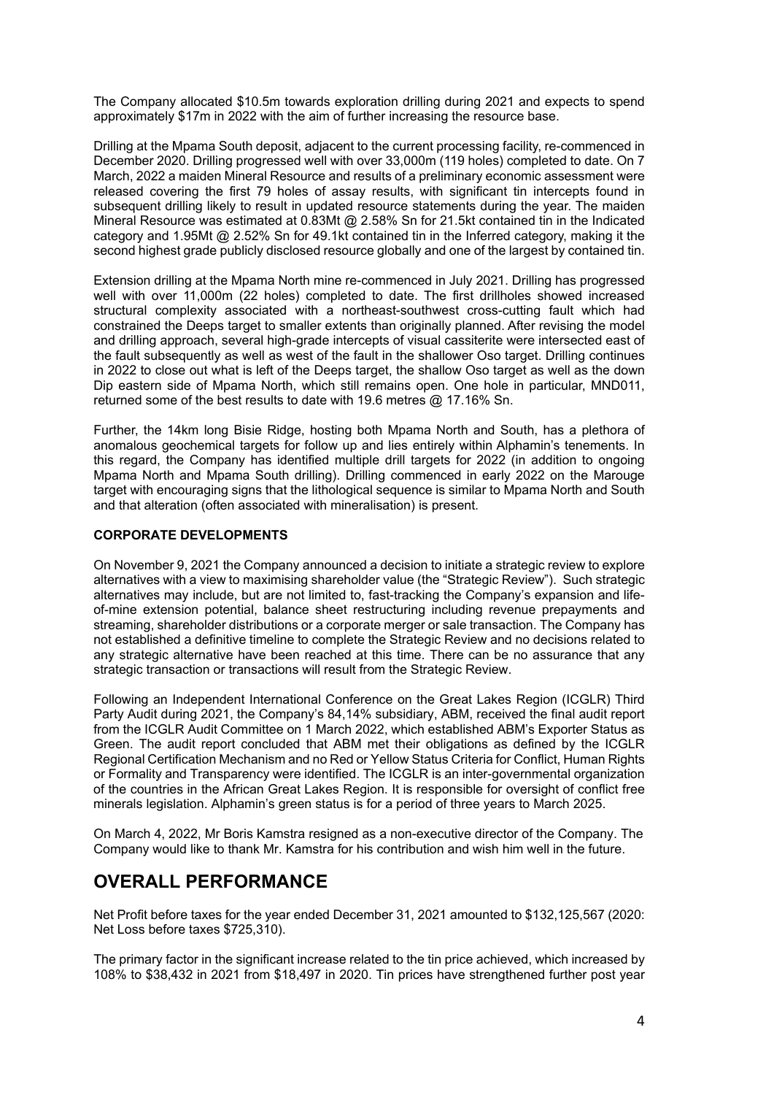The Company allocated \$10.5m towards exploration drilling during 2021 and expects to spend approximately \$17m in 2022 with the aim of further increasing the resource base.

Drilling at the Mpama South deposit, adjacent to the current processing facility, re-commenced in December 2020. Drilling progressed well with over 33,000m (119 holes) completed to date. On 7 March, 2022 a maiden Mineral Resource and results of a preliminary economic assessment were released covering the first 79 holes of assay results, with significant tin intercepts found in subsequent drilling likely to result in updated resource statements during the year. The maiden Mineral Resource was estimated at 0.83Mt @ 2.58% Sn for 21.5kt contained tin in the Indicated category and 1.95Mt @ 2.52% Sn for 49.1kt contained tin in the Inferred category, making it the second highest grade publicly disclosed resource globally and one of the largest by contained tin.

Extension drilling at the Mpama North mine re-commenced in July 2021. Drilling has progressed well with over 11,000m (22 holes) completed to date. The first drillholes showed increased structural complexity associated with a northeast-southwest cross-cutting fault which had constrained the Deeps target to smaller extents than originally planned. After revising the model and drilling approach, several high-grade intercepts of visual cassiterite were intersected east of the fault subsequently as well as west of the fault in the shallower Oso target. Drilling continues in 2022 to close out what is left of the Deeps target, the shallow Oso target as well as the down Dip eastern side of Mpama North, which still remains open. One hole in particular, MND011, returned some of the best results to date with 19.6 metres @ 17.16% Sn.

Further, the 14km long Bisie Ridge, hosting both Mpama North and South, has a plethora of anomalous geochemical targets for follow up and lies entirely within Alphamin's tenements. In this regard, the Company has identified multiple drill targets for 2022 (in addition to ongoing Mpama North and Mpama South drilling). Drilling commenced in early 2022 on the Marouge target with encouraging signs that the lithological sequence is similar to Mpama North and South and that alteration (often associated with mineralisation) is present.

### <span id="page-3-0"></span>**CORPORATE DEVELOPMENTS**

On November 9, 2021 the Company announced a decision to initiate a strategic review to explore alternatives with a view to maximising shareholder value (the "Strategic Review"). Such strategic alternatives may include, but are not limited to, fast-tracking the Company's expansion and lifeof-mine extension potential, balance sheet restructuring including revenue prepayments and streaming, shareholder distributions or a corporate merger or sale transaction. The Company has not established a definitive timeline to complete the Strategic Review and no decisions related to any strategic alternative have been reached at this time. There can be no assurance that any strategic transaction or transactions will result from the Strategic Review.

Following an Independent International Conference on the Great Lakes Region (ICGLR) Third Party Audit during 2021, the Company's 84,14% subsidiary, ABM, received the final audit report from the ICGLR Audit Committee on 1 March 2022, which established ABM's Exporter Status as Green. The audit report concluded that ABM met their obligations as defined by the ICGLR Regional Certification Mechanism and no Red or Yellow Status Criteria for Conflict, Human Rights or Formality and Transparency were identified. The ICGLR is an inter-governmental organization of the countries in the African Great Lakes Region. It is responsible for oversight of conflict free minerals legislation. Alphamin's green status is for a period of three years to March 2025.

On March 4, 2022, Mr Boris Kamstra resigned as a non-executive director of the Company. The Company would like to thank Mr. Kamstra for his contribution and wish him well in the future.

## <span id="page-3-1"></span>**OVERALL PERFORMANCE**

Net Profit before taxes for the year ended December 31, 2021 amounted to \$132,125,567 (2020: Net Loss before taxes \$725,310).

The primary factor in the significant increase related to the tin price achieved, which increased by 108% to \$38,432 in 2021 from \$18,497 in 2020. Tin prices have strengthened further post year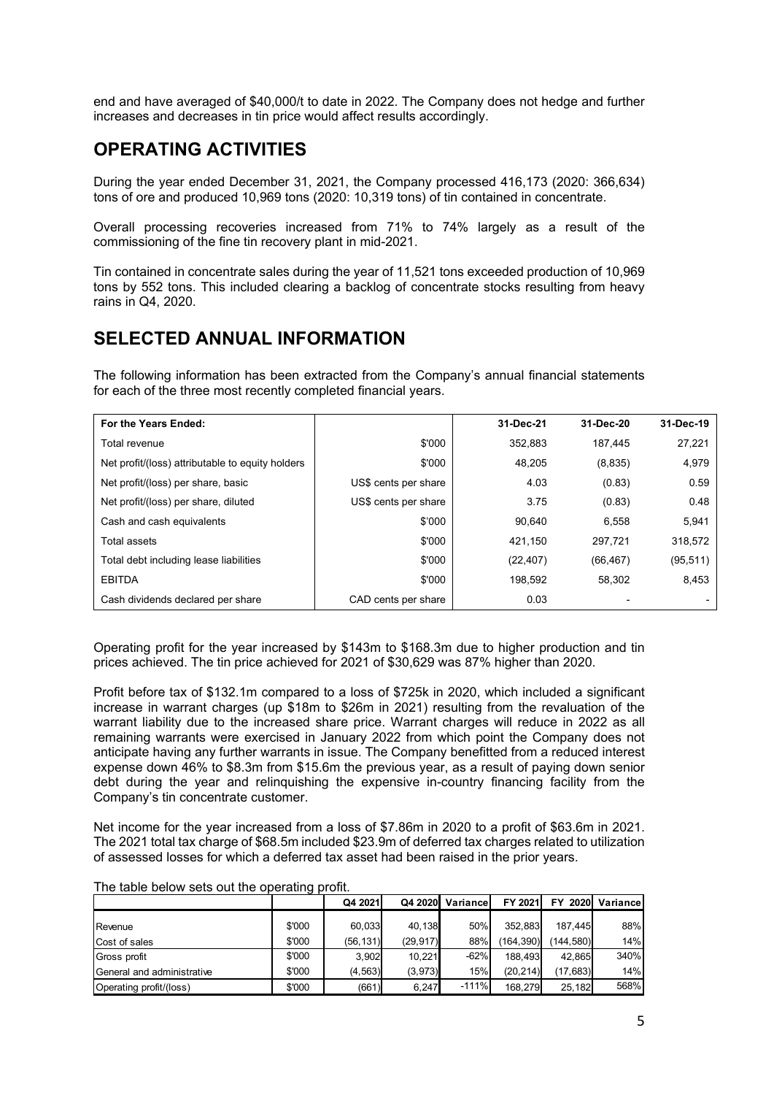end and have averaged of \$40,000/t to date in 2022. The Company does not hedge and further increases and decreases in tin price would affect results accordingly.

## **OPERATING ACTIVITIES**

During the year ended December 31, 2021, the Company processed 416,173 (2020: 366,634) tons of ore and produced 10,969 tons (2020: 10,319 tons) of tin contained in concentrate.

Overall processing recoveries increased from 71% to 74% largely as a result of the commissioning of the fine tin recovery plant in mid-2021.

Tin contained in concentrate sales during the year of 11,521 tons exceeded production of 10,969 tons by 552 tons. This included clearing a backlog of concentrate stocks resulting from heavy rains in Q4, 2020.

# <span id="page-4-0"></span>**SELECTED ANNUAL INFORMATION**

The following information has been extracted from the Company's annual financial statements for each of the three most recently completed financial years.

| For the Years Ended:                             |                      | 31-Dec-21 | 31-Dec-20 | 31-Dec-19 |
|--------------------------------------------------|----------------------|-----------|-----------|-----------|
| Total revenue                                    | \$'000               | 352.883   | 187.445   | 27,221    |
| Net profit/(loss) attributable to equity holders | \$'000               | 48.205    | (8,835)   | 4,979     |
| Net profit/(loss) per share, basic               | US\$ cents per share | 4.03      | (0.83)    | 0.59      |
| Net profit/(loss) per share, diluted             | US\$ cents per share | 3.75      | (0.83)    | 0.48      |
| Cash and cash equivalents                        | \$'000               | 90.640    | 6.558     | 5,941     |
| Total assets                                     | \$'000               | 421,150   | 297,721   | 318,572   |
| Total debt including lease liabilities           | \$'000               | (22, 407) | (66, 467) | (95, 511) |
| <b>EBITDA</b>                                    | \$'000               | 198.592   | 58.302    | 8,453     |
| Cash dividends declared per share                | CAD cents per share  | 0.03      |           |           |

Operating profit for the year increased by \$143m to \$168.3m due to higher production and tin prices achieved. The tin price achieved for 2021 of \$30,629 was 87% higher than 2020.

Profit before tax of \$132.1m compared to a loss of \$725k in 2020, which included a significant increase in warrant charges (up \$18m to \$26m in 2021) resulting from the revaluation of the warrant liability due to the increased share price. Warrant charges will reduce in 2022 as all remaining warrants were exercised in January 2022 from which point the Company does not anticipate having any further warrants in issue. The Company benefitted from a reduced interest expense down 46% to \$8.3m from \$15.6m the previous year, as a result of paying down senior debt during the year and relinquishing the expensive in-country financing facility from the Company's tin concentrate customer.

Net income for the year increased from a loss of \$7.86m in 2020 to a profit of \$63.6m in 2021. The 2021 total tax charge of \$68.5m included \$23.9m of deferred tax charges related to utilization of assessed losses for which a deferred tax asset had been raised in the prior years.

| The table bold if you can the operating profit. |        |           |           |          |           |             |           |  |
|-------------------------------------------------|--------|-----------|-----------|----------|-----------|-------------|-----------|--|
|                                                 |        | Q4 2021   | Q4 2020   | Variance | FY 2021   | 2020<br>FY. | Variancel |  |
|                                                 |        |           |           |          |           |             |           |  |
| Revenue                                         | \$'000 | 60.033    | 40.138    | 50%      | 352.883   | 187.445     | 88%       |  |
| Cost of sales                                   | \$'000 | (56, 131) | (29, 917) | 88%      | (164.390) | (144.580)   | 14%       |  |
| Gross profit                                    | \$'000 | 3.902     | 10.221    | $-62%$   | 188.493   | 42.865      | 340%      |  |
| General and administrative                      | \$'000 | (4, 563)  | (3,973)   | 15%      | (20.214)  | (17,683)    | 14%       |  |
| Operating profit/(loss)                         | \$'000 | (661)     | 6,247     | $-111%$  | 168.279   | 25.182      | 568%      |  |

The table below sets out the operating profit.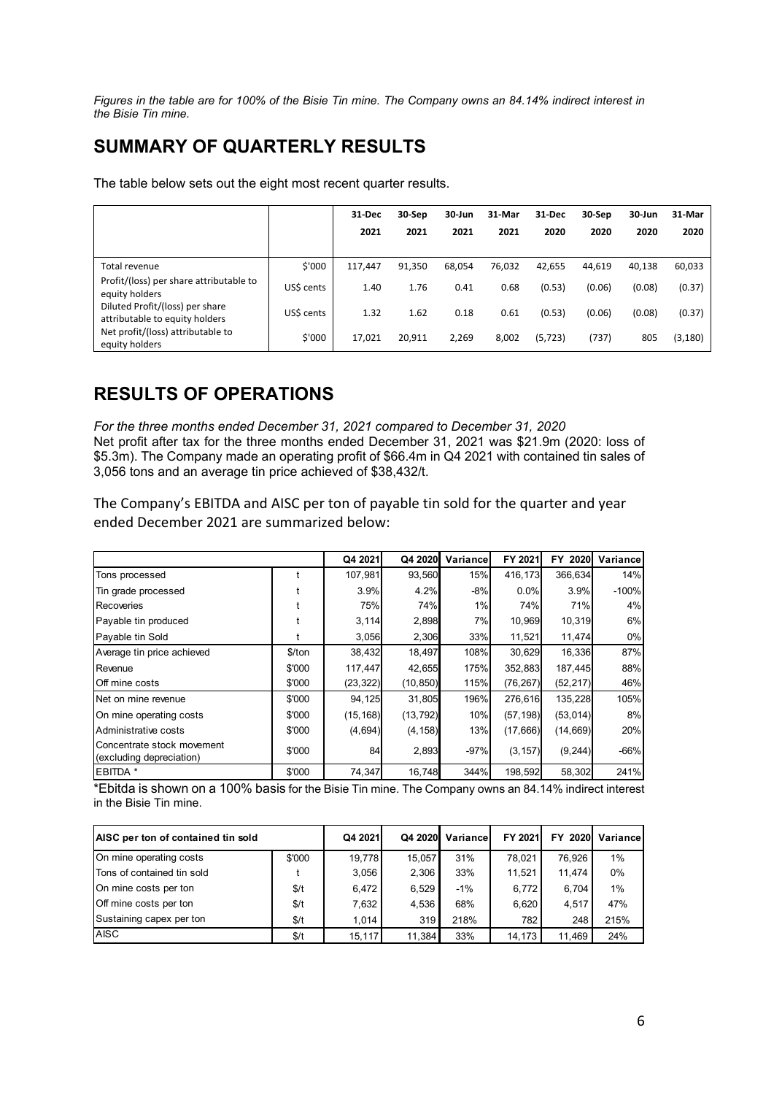*Figures in the table are for 100% of the Bisie Tin mine. The Company owns an 84.14% indirect interest in the Bisie Tin mine.*

# <span id="page-5-0"></span>**SUMMARY OF QUARTERLY RESULTS**

The table below sets out the eight most recent quarter results.

|                                                                   |            | 31-Dec<br>2021 | 30-Sep<br>2021 | 30-Jun<br>2021 | 31-Mar<br>2021 | 31-Dec<br>2020 | 30-Sep<br>2020 | 30-Jun<br>2020 | 31-Mar<br>2020 |
|-------------------------------------------------------------------|------------|----------------|----------------|----------------|----------------|----------------|----------------|----------------|----------------|
| Total revenue                                                     | \$'000     | 117.447        | 91,350         | 68,054         | 76,032         | 42,655         | 44,619         | 40,138         | 60,033         |
| Profit/(loss) per share attributable to<br>equity holders         | US\$ cents | 1.40           | 1.76           | 0.41           | 0.68           | (0.53)         | (0.06)         | (0.08)         | (0.37)         |
| Diluted Profit/(loss) per share<br>attributable to equity holders | US\$ cents | 1.32           | 1.62           | 0.18           | 0.61           | (0.53)         | (0.06)         | (0.08)         | (0.37)         |
| Net profit/(loss) attributable to<br>equity holders               | \$'000     | 17,021         | 20,911         | 2,269          | 8.002          | (5, 723)       | (737)          | 805            | (3, 180)       |

## <span id="page-5-1"></span>**RESULTS OF OPERATIONS**

*For the three months ended December 31, 2021 compared to December 31, 2020* Net profit after tax for the three months ended December 31, 2021 was \$21.9m (2020: loss of \$5.3m). The Company made an operating profit of \$66.4m in Q4 2021 with contained tin sales of 3,056 tons and an average tin price achieved of \$38,432/t.

The Company's EBITDA and AISC per ton of payable tin sold for the quarter and year ended December 2021 are summarized below:

|                                                        |        | Q4 2021   | Q4 2020   | Variancel | FY 2021   | FY 2020   | Variance |
|--------------------------------------------------------|--------|-----------|-----------|-----------|-----------|-----------|----------|
| Tons processed                                         |        | 107,981   | 93,560    | 15%       | 416,173   | 366,634   | 14%      |
| Tin grade processed                                    |        | 3.9%      | 4.2%      | $-8%$     | 0.0%      | 3.9%      | $-100%$  |
| Recoveries                                             |        | 75%       | 74%       | 1%        | 74%       | 71%       | 4%       |
| Payable tin produced                                   |        | 3,114     | 2,898     | 7%l       | 10,969    | 10,319    | 6%       |
| Payable tin Sold                                       |        | 3,056     | 2,306     | 33%       | 11,521    | 11,474    | 0%       |
| Average tin price achieved                             | \$/ton | 38,432    | 18,497    | 108%      | 30,629    | 16,336    | 87%      |
| Revenue                                                | \$'000 | 117,447   | 42,655    | 175%      | 352,883   | 187,445   | 88%      |
| Off mine costs                                         | \$'000 | (23, 322) | (10, 850) | 115%      | (76, 267) | (52, 217) | 46%      |
| Net on mine revenue                                    | \$'000 | 94,125    | 31,805    | 196%      | 276,616   | 135,228   | 105%     |
| On mine operating costs                                | \$'000 | (15, 168) | (13, 792) | 10%       | (57, 198) | (53, 014) | 8%       |
| Administrative costs                                   | \$'000 | (4,694)   | (4, 158)  | 13%       | (17,666)  | (14, 669) | 20%      |
| Concentrate stock movement<br>(excluding depreciation) | \$'000 | 84        | 2,893     | $-97%$    | (3, 157)  | (9, 244)  | $-66%$   |
| EBITDA *                                               | \$'000 | 74,347    | 16,748    | 344%      | 198,592   | 58,302    | 241%     |

\*Ebitda is shown on a 100% basis for the Bisie Tin mine. The Company owns an 84.14% indirect interest in the Bisie Tin mine.

| AISC per ton of contained tin sold |        | Q4 2021 | Q4 2020 | Variancel | FY 2021 | FY 2020 | Variancel |
|------------------------------------|--------|---------|---------|-----------|---------|---------|-----------|
| On mine operating costs            | \$'000 | 19.778  | 15.057  | 31%       | 78.021  | 76.926  | $1\%$     |
| Tons of contained tin sold         |        | 3,056   | 2.306   | 33%       | 11.521  | 11.474  | 0%        |
| On mine costs per ton              | \$/t   | 6.472   | 6.529   | $-1%$     | 6.772   | 6.704   | 1%        |
| Off mine costs per ton             | \$/t   | 7,632   | 4.536   | 68%       | 6.620   | 4.517   | 47%       |
| Sustaining capex per ton           | \$/t   | 1.014   | 319     | 218%      | 7821    | 248     | 215%      |
| <b>AISC</b>                        | \$/t   | 15.117  | 11.384  | 33%       | 14.173  | 11.469  | 24%       |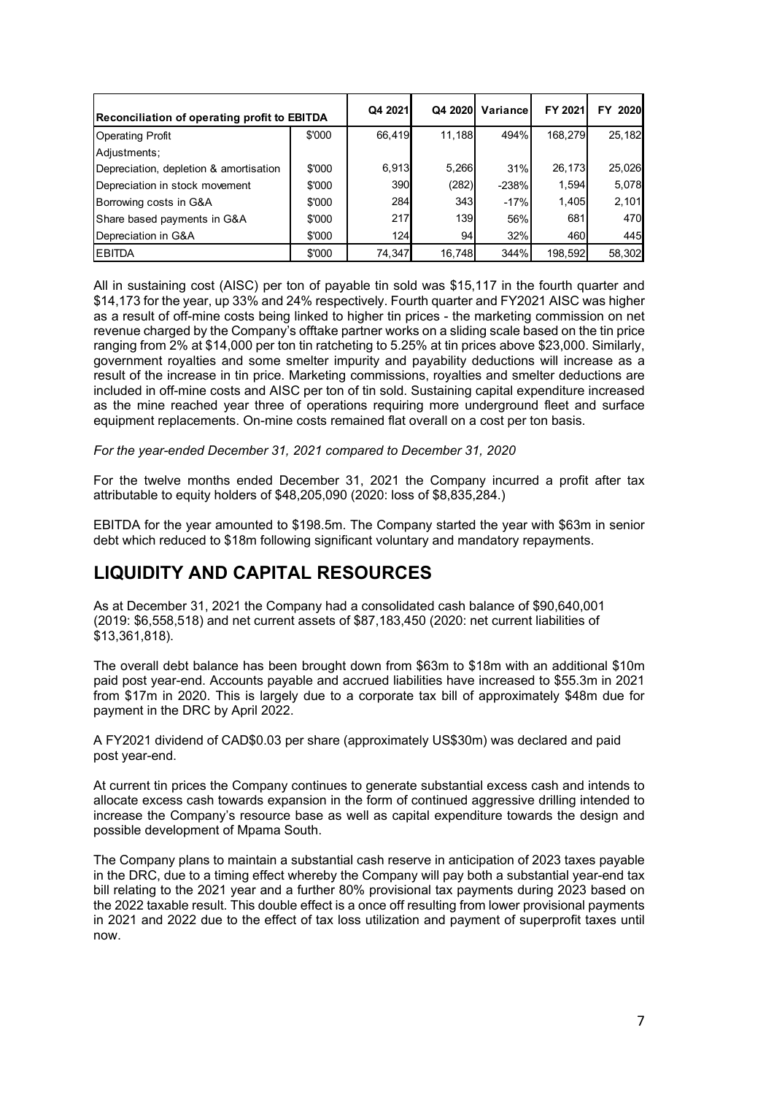| Reconciliation of operating profit to EBITDA |        | Q4 2021 | Q4 2020    | Variancel | FY 2021 | <b>FY 2020</b> |
|----------------------------------------------|--------|---------|------------|-----------|---------|----------------|
| <b>Operating Profit</b>                      | \$'000 | 66.419  | 11.188     | 494%      | 168.279 | 25,182         |
| Adjustments:                                 |        |         |            |           |         |                |
| Depreciation, depletion & amortisation       | \$'000 | 6,913   | 5,266      | 31%       | 26,173  | 25,026         |
| Depreciation in stock movement               | \$'000 | 390     | (282)      | $-238%$   | 1,594   | 5,078          |
| Borrowing costs in G&A                       | \$'000 | 284     | 343        | $-17%$    | 1,405   | 2,101          |
| Share based payments in G&A                  | \$'000 | 217     | <b>139</b> | 56%       | 681     | 470            |
| Depreciation in G&A                          | \$'000 | 124     | 94         | 32%       | 460     | 445            |
| <b>IEBITDA</b>                               | \$'000 | 74,347  | 16,748     | 344%      | 198,592 | 58,302         |

All in sustaining cost (AISC) per ton of payable tin sold was \$15,117 in the fourth quarter and \$14,173 for the year, up 33% and 24% respectively. Fourth quarter and FY2021 AISC was higher as a result of off-mine costs being linked to higher tin prices - the marketing commission on net revenue charged by the Company's offtake partner works on a sliding scale based on the tin price ranging from 2% at \$14,000 per ton tin ratcheting to 5.25% at tin prices above \$23,000. Similarly, government royalties and some smelter impurity and payability deductions will increase as a result of the increase in tin price. Marketing commissions, royalties and smelter deductions are included in off-mine costs and AISC per ton of tin sold. Sustaining capital expenditure increased as the mine reached year three of operations requiring more underground fleet and surface equipment replacements. On-mine costs remained flat overall on a cost per ton basis.

*For the year-ended December 31, 2021 compared to December 31, 2020*

For the twelve months ended December 31, 2021 the Company incurred a profit after tax attributable to equity holders of \$48,205,090 (2020: loss of \$8,835,284.)

EBITDA for the year amounted to \$198.5m. The Company started the year with \$63m in senior debt which reduced to \$18m following significant voluntary and mandatory repayments.

## <span id="page-6-0"></span>**LIQUIDITY AND CAPITAL RESOURCES**

As at December 31, 2021 the Company had a consolidated cash balance of \$90,640,001 (2019: \$6,558,518) and net current assets of \$87,183,450 (2020: net current liabilities of \$13,361,818).

The overall debt balance has been brought down from \$63m to \$18m with an additional \$10m paid post year-end. Accounts payable and accrued liabilities have increased to \$55.3m in 2021 from \$17m in 2020. This is largely due to a corporate tax bill of approximately \$48m due for payment in the DRC by April 2022.

A FY2021 dividend of CAD\$0.03 per share (approximately US\$30m) was declared and paid post year-end.

At current tin prices the Company continues to generate substantial excess cash and intends to allocate excess cash towards expansion in the form of continued aggressive drilling intended to increase the Company's resource base as well as capital expenditure towards the design and possible development of Mpama South.

The Company plans to maintain a substantial cash reserve in anticipation of 2023 taxes payable in the DRC, due to a timing effect whereby the Company will pay both a substantial year-end tax bill relating to the 2021 year and a further 80% provisional tax payments during 2023 based on the 2022 taxable result. This double effect is a once off resulting from lower provisional payments in 2021 and 2022 due to the effect of tax loss utilization and payment of superprofit taxes until now.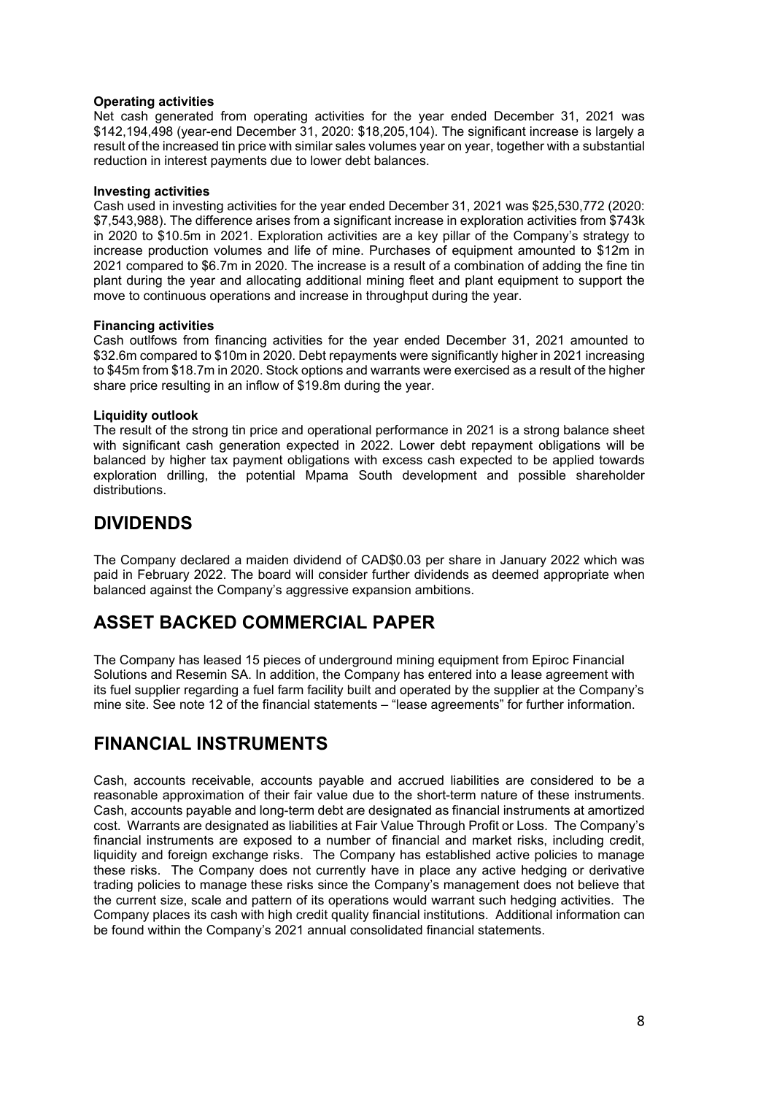#### **Operating activities**

Net cash generated from operating activities for the year ended December 31, 2021 was \$142,194,498 (year-end December 31, 2020: \$18,205,104). The significant increase is largely a result of the increased tin price with similar sales volumes year on year, together with a substantial reduction in interest payments due to lower debt balances.

#### **Investing activities**

Cash used in investing activities for the year ended December 31, 2021 was \$25,530,772 (2020: \$7,543,988). The difference arises from a significant increase in exploration activities from \$743k in 2020 to \$10.5m in 2021. Exploration activities are a key pillar of the Company's strategy to increase production volumes and life of mine. Purchases of equipment amounted to \$12m in 2021 compared to \$6.7m in 2020. The increase is a result of a combination of adding the fine tin plant during the year and allocating additional mining fleet and plant equipment to support the move to continuous operations and increase in throughput during the year.

#### **Financing activities**

Cash outlfows from financing activities for the year ended December 31, 2021 amounted to \$32.6m compared to \$10m in 2020. Debt repayments were significantly higher in 2021 increasing to \$45m from \$18.7m in 2020. Stock options and warrants were exercised as a result of the higher share price resulting in an inflow of \$19.8m during the year.

#### **Liquidity outlook**

The result of the strong tin price and operational performance in 2021 is a strong balance sheet with significant cash generation expected in 2022. Lower debt repayment obligations will be balanced by higher tax payment obligations with excess cash expected to be applied towards exploration drilling, the potential Mpama South development and possible shareholder distributions.

## <span id="page-7-0"></span>**DIVIDENDS**

The Company declared a maiden dividend of CAD\$0.03 per share in January 2022 which was paid in February 2022. The board will consider further dividends as deemed appropriate when balanced against the Company's aggressive expansion ambitions.

## <span id="page-7-1"></span>**ASSET BACKED COMMERCIAL PAPER**

The Company has leased 15 pieces of underground mining equipment from Epiroc Financial Solutions and Resemin SA. In addition, the Company has entered into a lease agreement with its fuel supplier regarding a fuel farm facility built and operated by the supplier at the Company's mine site. See note 12 of the financial statements – "lease agreements" for further information.

## <span id="page-7-2"></span>**FINANCIAL INSTRUMENTS**

Cash, accounts receivable, accounts payable and accrued liabilities are considered to be a reasonable approximation of their fair value due to the short-term nature of these instruments. Cash, accounts payable and long-term debt are designated as financial instruments at amortized cost. Warrants are designated as liabilities at Fair Value Through Profit or Loss. The Company's financial instruments are exposed to a number of financial and market risks, including credit, liquidity and foreign exchange risks. The Company has established active policies to manage these risks. The Company does not currently have in place any active hedging or derivative trading policies to manage these risks since the Company's management does not believe that the current size, scale and pattern of its operations would warrant such hedging activities. The Company places its cash with high credit quality financial institutions. Additional information can be found within the Company's 2021 annual consolidated financial statements.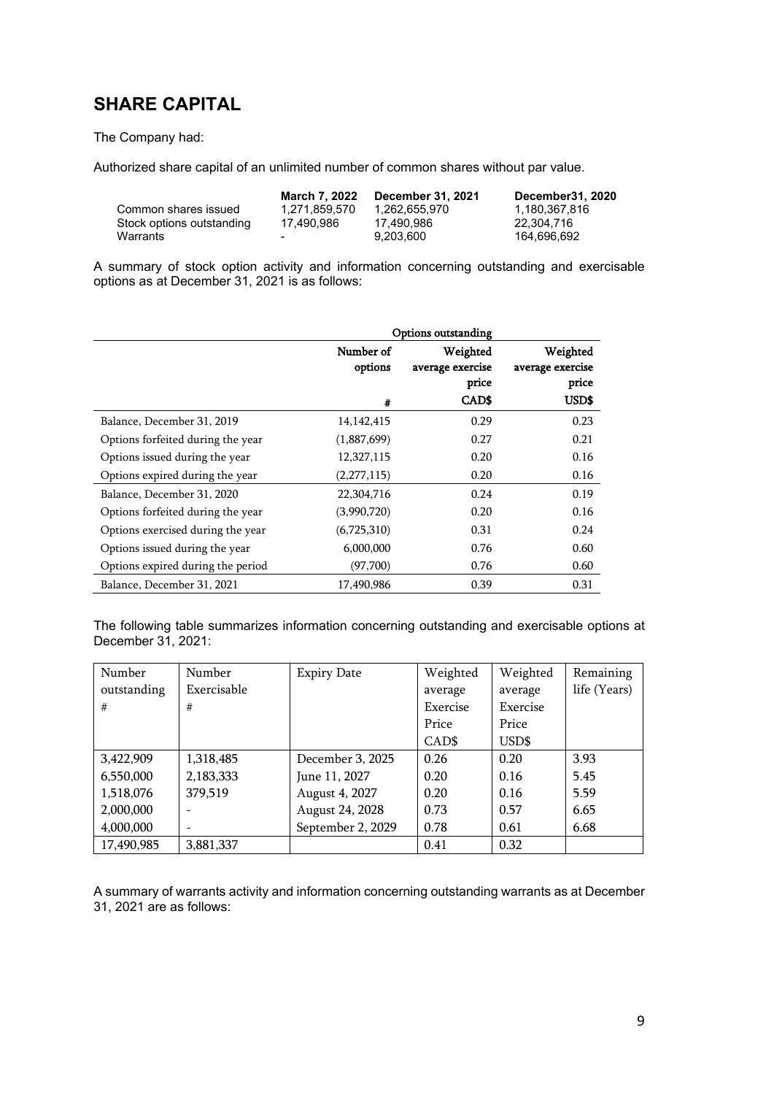# <span id="page-8-0"></span>**SHARE CAPITAL**

### The Company had:

Authorized share capital of an unlimited number of common shares without par value.

|                           | March 7, 2022 | December 31, 2021 | December31, 2020 |
|---------------------------|---------------|-------------------|------------------|
| Common shares issued      | 1.271.859.570 | 1.262.655.970     | 1.180.367.816    |
| Stock options outstanding | 17.490.986    | 17.490.986        | 22.304.716       |
| Warrants                  | -             | 9.203.600         | 164.696.692      |

A summary of stock option activity and information concerning outstanding and exercisable options as at December 31, 2021 is as follows:

|                                   | <b>Options outstanding</b> |                              |                              |  |  |  |
|-----------------------------------|----------------------------|------------------------------|------------------------------|--|--|--|
|                                   | Number of<br>options       | Weighted<br>average exercise | Weighted<br>average exercise |  |  |  |
|                                   |                            | price                        | price                        |  |  |  |
|                                   | #                          | CAD\$                        | USD\$                        |  |  |  |
| Balance, December 31, 2019        | 14, 142, 415               | 0.29                         | 0.23                         |  |  |  |
| Options forfeited during the year | (1,887,699)                | 0.27                         | 0.21                         |  |  |  |
| Options issued during the year    | 12,327,115                 | 0.20                         | 0.16                         |  |  |  |
| Options expired during the year   | (2,277,115)                | 0.20                         | 0.16                         |  |  |  |
| Balance, December 31, 2020        | 22,304,716                 | 0.24                         | 0.19                         |  |  |  |
| Options forfeited during the year | (3,990,720)                | 0.20                         | 0.16                         |  |  |  |
| Options exercised during the year | (6,725,310)                | 0.31                         | 0.24                         |  |  |  |
| Options issued during the year    | 6,000,000                  | 0.76                         | 0.60                         |  |  |  |
| Options expired during the period | (97,700)                   | 0.76                         | 0.60                         |  |  |  |
| Balance, December 31, 2021        | 17,490,986                 | 0.39                         | 0.31                         |  |  |  |

The following table summarizes information concerning outstanding and exercisable options at December 31, 2021:

| Number      | Number      | <b>Expiry Date</b> | Weighted | Weighted | Remaining    |
|-------------|-------------|--------------------|----------|----------|--------------|
| outstanding | Exercisable |                    | average  | average  | life (Years) |
| #           | #           |                    | Exercise | Exercise |              |
|             |             |                    | Price    | Price    |              |
|             |             |                    | CAD\$    | USD\$    |              |
| 3,422,909   | 1,318,485   | December 3, 2025   | 0.26     | 0.20     | 3.93         |
| 6,550,000   | 2,183,333   | June 11, 2027      | 0.20     | 0.16     | 5.45         |
| 1,518,076   | 379,519     | August 4, 2027     | 0.20     | 0.16     | 5.59         |
| 2,000,000   |             | August 24, 2028    | 0.73     | 0.57     | 6.65         |
| 4,000,000   |             | September 2, 2029  | 0.78     | 0.61     | 6.68         |
| 17,490,985  | 3,881,337   |                    | 0.41     | 0.32     |              |

A summary of warrants activity and information concerning outstanding warrants as at December 31, 2021 are as follows: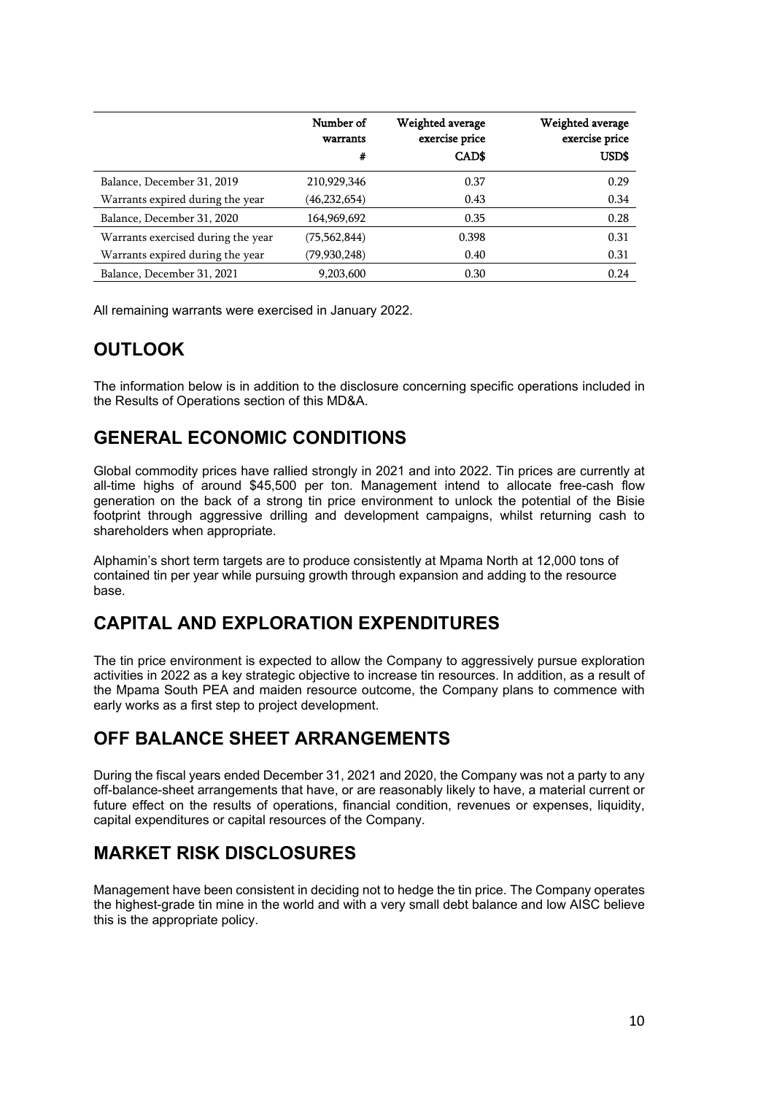|                                    | Number of<br>warrants<br># | Weighted average<br>exercise price<br><b>CADS</b> | Weighted average<br>exercise price<br>USD\$ |
|------------------------------------|----------------------------|---------------------------------------------------|---------------------------------------------|
| Balance, December 31, 2019         | 210,929,346                | 0.37                                              | 0.29                                        |
| Warrants expired during the year   | (46, 232, 654)             | 0.43                                              | 0.34                                        |
| Balance, December 31, 2020         | 164,969,692                | 0.35                                              | 0.28                                        |
| Warrants exercised during the year | (75, 562, 844)             | 0.398                                             | 0.31                                        |
| Warrants expired during the year   | (79,930,248)               | 0.40                                              | 0.31                                        |
| Balance, December 31, 2021         | 9,203,600                  | 0.30                                              | 0.24                                        |

All remaining warrants were exercised in January 2022.

# <span id="page-9-0"></span>**OUTLOOK**

The information below is in addition to the disclosure concerning specific operations included in the Results of Operations section of this MD&A.

# <span id="page-9-1"></span>**GENERAL ECONOMIC CONDITIONS**

Global commodity prices have rallied strongly in 2021 and into 2022. Tin prices are currently at all-time highs of around \$45,500 per ton. Management intend to allocate free-cash flow generation on the back of a strong tin price environment to unlock the potential of the Bisie footprint through aggressive drilling and development campaigns, whilst returning cash to shareholders when appropriate.

Alphamin's short term targets are to produce consistently at Mpama North at 12,000 tons of contained tin per year while pursuing growth through expansion and adding to the resource base.

## <span id="page-9-2"></span>**CAPITAL AND EXPLORATION EXPENDITURES**

The tin price environment is expected to allow the Company to aggressively pursue exploration activities in 2022 as a key strategic objective to increase tin resources. In addition, as a result of the Mpama South PEA and maiden resource outcome, the Company plans to commence with early works as a first step to project development.

## <span id="page-9-3"></span>**OFF BALANCE SHEET ARRANGEMENTS**

During the fiscal years ended December 31, 2021 and 2020, the Company was not a party to any off-balance-sheet arrangements that have, or are reasonably likely to have, a material current or future effect on the results of operations, financial condition, revenues or expenses, liquidity, capital expenditures or capital resources of the Company.

# <span id="page-9-4"></span>**MARKET RISK DISCLOSURES**

Management have been consistent in deciding not to hedge the tin price. The Company operates the highest-grade tin mine in the world and with a very small debt balance and low AISC believe this is the appropriate policy.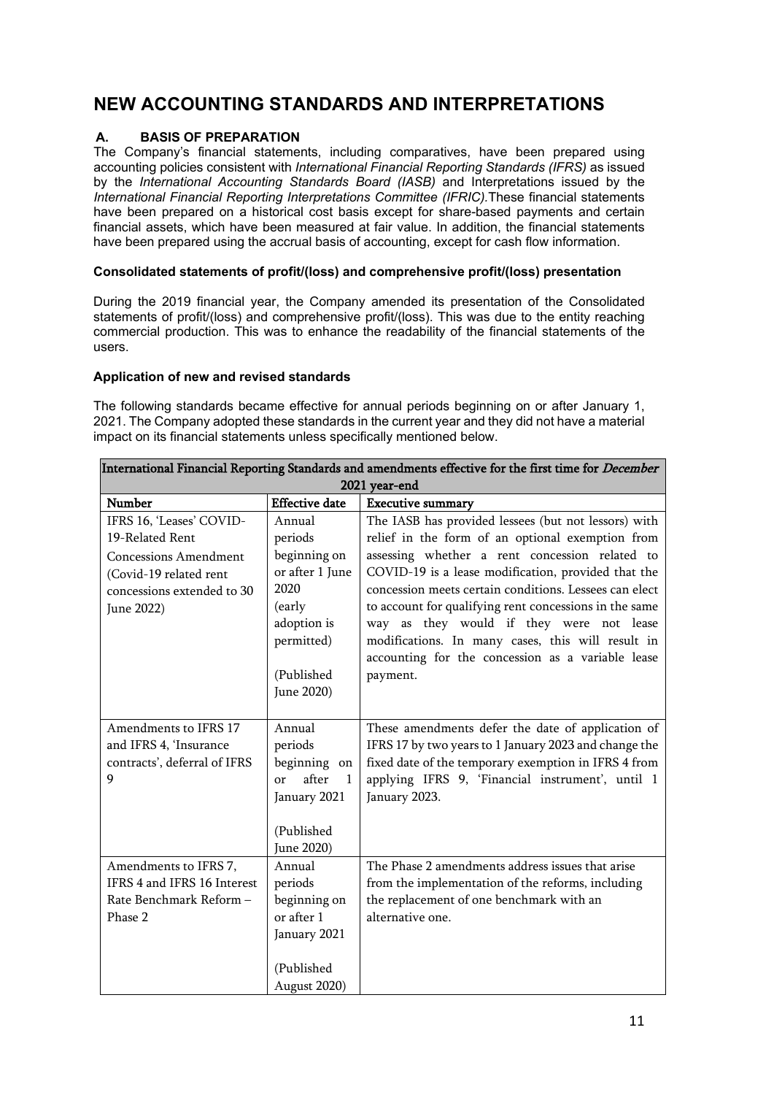# <span id="page-10-0"></span>**NEW ACCOUNTING STANDARDS AND INTERPRETATIONS**

## **A. BASIS OF PREPARATION**

The Company's financial statements, including comparatives, have been prepared using accounting policies consistent with *International Financial Reporting Standards (IFRS)* as issued by the *International Accounting Standards Board (IASB)* and Interpretations issued by the *International Financial Reporting Interpretations Committee (IFRIC).*These financial statements have been prepared on a historical cost basis except for share-based payments and certain financial assets, which have been measured at fair value. In addition, the financial statements have been prepared using the accrual basis of accounting, except for cash flow information.

### **Consolidated statements of profit/(loss) and comprehensive profit/(loss) presentation**

During the 2019 financial year, the Company amended its presentation of the Consolidated statements of profit/(loss) and comprehensive profit/(loss). This was due to the entity reaching commercial production. This was to enhance the readability of the financial statements of the users.

## **Application of new and revised standards**

The following standards became effective for annual periods beginning on or after January 1, 2021. The Company adopted these standards in the current year and they did not have a material impact on its financial statements unless specifically mentioned below.

| International Financial Reporting Standards and amendments effective for the first time for <i>December</i>                                       |                                                                                                                                 |                                                                                                                                                                                                                                                                                                                                                                                                                                                                                                         |  |  |  |  |  |
|---------------------------------------------------------------------------------------------------------------------------------------------------|---------------------------------------------------------------------------------------------------------------------------------|---------------------------------------------------------------------------------------------------------------------------------------------------------------------------------------------------------------------------------------------------------------------------------------------------------------------------------------------------------------------------------------------------------------------------------------------------------------------------------------------------------|--|--|--|--|--|
| 2021 year-end                                                                                                                                     |                                                                                                                                 |                                                                                                                                                                                                                                                                                                                                                                                                                                                                                                         |  |  |  |  |  |
| Number                                                                                                                                            | <b>Effective</b> date                                                                                                           | <b>Executive summary</b>                                                                                                                                                                                                                                                                                                                                                                                                                                                                                |  |  |  |  |  |
| IFRS 16, 'Leases' COVID-<br>19-Related Rent<br><b>Concessions Amendment</b><br>(Covid-19 related rent<br>concessions extended to 30<br>June 2022) | Annual<br>periods<br>beginning on<br>or after 1 June<br>2020<br>(early<br>adoption is<br>permitted)<br>(Published<br>June 2020) | The IASB has provided lessees (but not lessors) with<br>relief in the form of an optional exemption from<br>assessing whether a rent concession related to<br>COVID-19 is a lease modification, provided that the<br>concession meets certain conditions. Lessees can elect<br>to account for qualifying rent concessions in the same<br>way as they would if they were not lease<br>modifications. In many cases, this will result in<br>accounting for the concession as a variable lease<br>payment. |  |  |  |  |  |
| Amendments to IFRS 17<br>and IFRS 4, 'Insurance<br>contracts', deferral of IFRS<br>9                                                              | Annual<br>periods<br>beginning on<br>after<br>$\mathbf{1}$<br>or<br>January 2021<br>(Published<br>June 2020)                    | These amendments defer the date of application of<br>IFRS 17 by two years to 1 January 2023 and change the<br>fixed date of the temporary exemption in IFRS 4 from<br>applying IFRS 9, 'Financial instrument', until 1<br>January 2023.                                                                                                                                                                                                                                                                 |  |  |  |  |  |
| Amendments to IFRS 7,<br>IFRS 4 and IFRS 16 Interest<br>Rate Benchmark Reform-<br>Phase 2                                                         | Annual<br>periods<br>beginning on<br>or after 1<br>January 2021<br>(Published<br>August 2020)                                   | The Phase 2 amendments address issues that arise<br>from the implementation of the reforms, including<br>the replacement of one benchmark with an<br>alternative one.                                                                                                                                                                                                                                                                                                                                   |  |  |  |  |  |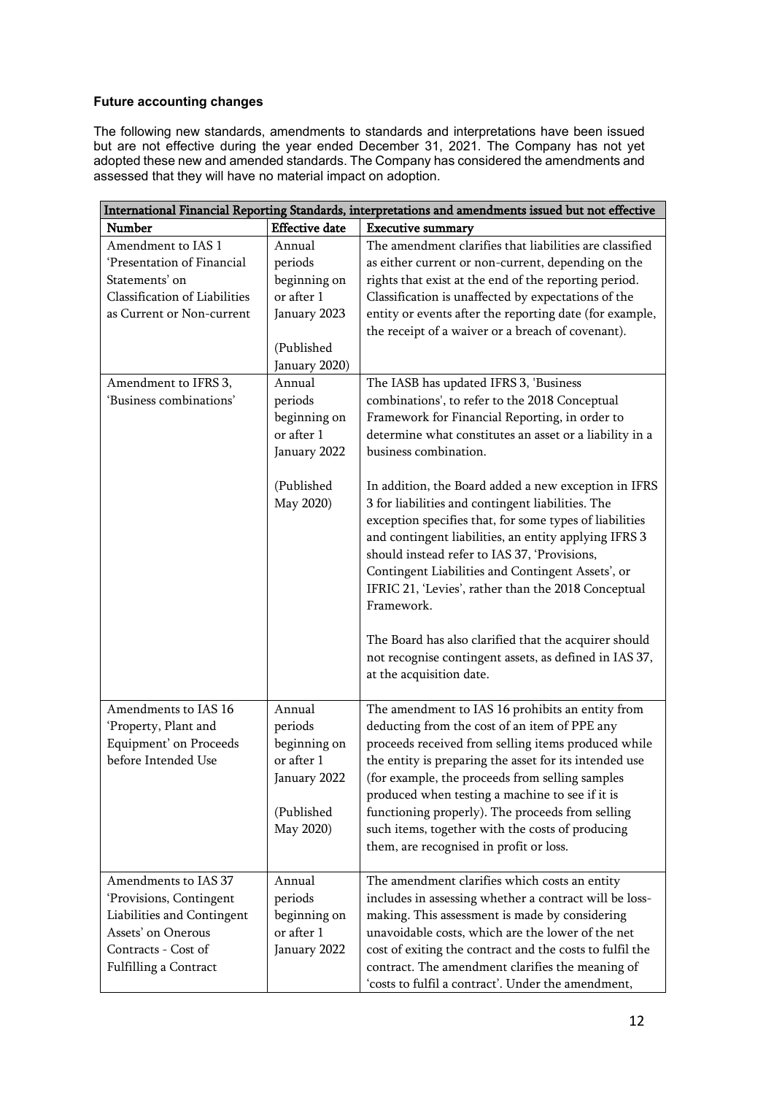## **Future accounting changes**

The following new standards, amendments to standards and interpretations have been issued but are not effective during the year ended December 31, 2021. The Company has not yet adopted these new and amended standards. The Company has considered the amendments and assessed that they will have no material impact on adoption.

| International Financial Reporting Standards, interpretations and amendments issued but not effective |                       |                                                          |  |  |  |  |
|------------------------------------------------------------------------------------------------------|-----------------------|----------------------------------------------------------|--|--|--|--|
| Number                                                                                               | <b>Effective</b> date | <b>Executive summary</b>                                 |  |  |  |  |
| Amendment to IAS 1                                                                                   | Annual                | The amendment clarifies that liabilities are classified  |  |  |  |  |
| 'Presentation of Financial                                                                           | periods               | as either current or non-current, depending on the       |  |  |  |  |
| Statements' on                                                                                       | beginning on          | rights that exist at the end of the reporting period.    |  |  |  |  |
| <b>Classification of Liabilities</b>                                                                 | or after 1            | Classification is unaffected by expectations of the      |  |  |  |  |
| as Current or Non-current                                                                            | January 2023          | entity or events after the reporting date (for example,  |  |  |  |  |
|                                                                                                      |                       | the receipt of a waiver or a breach of covenant).        |  |  |  |  |
|                                                                                                      | (Published            |                                                          |  |  |  |  |
|                                                                                                      | January 2020)         |                                                          |  |  |  |  |
| Amendment to IFRS 3,                                                                                 | Annual                | The IASB has updated IFRS 3, 'Business                   |  |  |  |  |
| 'Business combinations'                                                                              | periods               | combinations', to refer to the 2018 Conceptual           |  |  |  |  |
|                                                                                                      | beginning on          | Framework for Financial Reporting, in order to           |  |  |  |  |
|                                                                                                      | or after 1            | determine what constitutes an asset or a liability in a  |  |  |  |  |
|                                                                                                      | January 2022          | business combination.                                    |  |  |  |  |
|                                                                                                      |                       |                                                          |  |  |  |  |
|                                                                                                      | (Published            | In addition, the Board added a new exception in IFRS     |  |  |  |  |
|                                                                                                      | May 2020)             | 3 for liabilities and contingent liabilities. The        |  |  |  |  |
|                                                                                                      |                       | exception specifies that, for some types of liabilities  |  |  |  |  |
|                                                                                                      |                       | and contingent liabilities, an entity applying IFRS 3    |  |  |  |  |
|                                                                                                      |                       | should instead refer to IAS 37, 'Provisions,             |  |  |  |  |
|                                                                                                      |                       | Contingent Liabilities and Contingent Assets', or        |  |  |  |  |
|                                                                                                      |                       | IFRIC 21, 'Levies', rather than the 2018 Conceptual      |  |  |  |  |
|                                                                                                      |                       | Framework.                                               |  |  |  |  |
|                                                                                                      |                       |                                                          |  |  |  |  |
|                                                                                                      |                       | The Board has also clarified that the acquirer should    |  |  |  |  |
|                                                                                                      |                       | not recognise contingent assets, as defined in IAS 37,   |  |  |  |  |
|                                                                                                      |                       | at the acquisition date.                                 |  |  |  |  |
| Amendments to IAS 16                                                                                 | Annual                | The amendment to IAS 16 prohibits an entity from         |  |  |  |  |
| 'Property, Plant and                                                                                 | periods               | deducting from the cost of an item of PPE any            |  |  |  |  |
| Equipment' on Proceeds                                                                               | beginning on          | proceeds received from selling items produced while      |  |  |  |  |
| before Intended Use                                                                                  | or after 1            | the entity is preparing the asset for its intended use   |  |  |  |  |
|                                                                                                      | January 2022          | (for example, the proceeds from selling samples          |  |  |  |  |
|                                                                                                      |                       | produced when testing a machine to see if it is          |  |  |  |  |
|                                                                                                      | (Published            | functioning properly). The proceeds from selling         |  |  |  |  |
|                                                                                                      | May 2020)             | such items, together with the costs of producing         |  |  |  |  |
|                                                                                                      |                       | them, are recognised in profit or loss.                  |  |  |  |  |
|                                                                                                      |                       |                                                          |  |  |  |  |
| Amendments to IAS 37                                                                                 | Annual                | The amendment clarifies which costs an entity            |  |  |  |  |
| 'Provisions, Contingent                                                                              | periods               | includes in assessing whether a contract will be loss-   |  |  |  |  |
| Liabilities and Contingent                                                                           | beginning on          | making. This assessment is made by considering           |  |  |  |  |
| Assets' on Onerous                                                                                   | or after 1            | unavoidable costs, which are the lower of the net        |  |  |  |  |
| Contracts - Cost of                                                                                  | January 2022          | cost of exiting the contract and the costs to fulfil the |  |  |  |  |
| Fulfilling a Contract                                                                                |                       | contract. The amendment clarifies the meaning of         |  |  |  |  |
|                                                                                                      |                       | 'costs to fulfil a contract'. Under the amendment,       |  |  |  |  |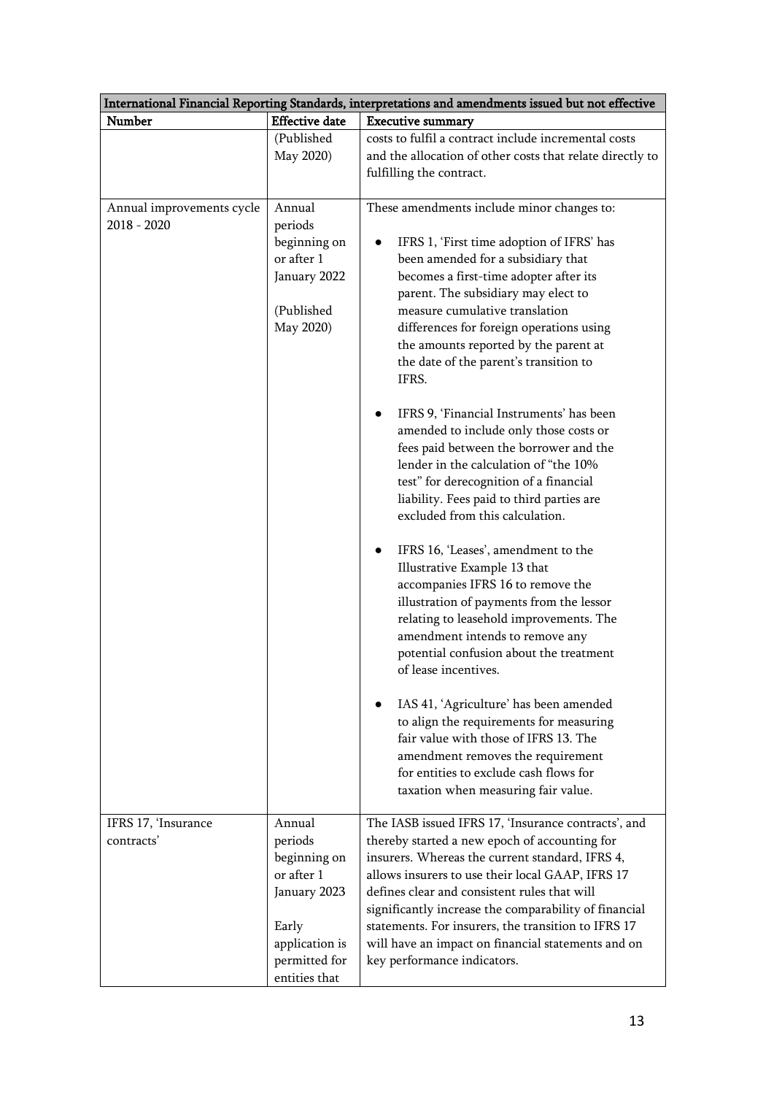| International Financial Reporting Standards, interpretations and amendments issued but not effective |                                                                                                                              |                                                                                                                                                                                                                                                                                                                                                                                                                                                                                                                                                                                                                                                                                                                                                                                                                                                                                                                                                                                                                                                                                                                                                                                                                                                                       |  |  |  |  |  |
|------------------------------------------------------------------------------------------------------|------------------------------------------------------------------------------------------------------------------------------|-----------------------------------------------------------------------------------------------------------------------------------------------------------------------------------------------------------------------------------------------------------------------------------------------------------------------------------------------------------------------------------------------------------------------------------------------------------------------------------------------------------------------------------------------------------------------------------------------------------------------------------------------------------------------------------------------------------------------------------------------------------------------------------------------------------------------------------------------------------------------------------------------------------------------------------------------------------------------------------------------------------------------------------------------------------------------------------------------------------------------------------------------------------------------------------------------------------------------------------------------------------------------|--|--|--|--|--|
| Number                                                                                               | <b>Effective date</b>                                                                                                        | <b>Executive summary</b>                                                                                                                                                                                                                                                                                                                                                                                                                                                                                                                                                                                                                                                                                                                                                                                                                                                                                                                                                                                                                                                                                                                                                                                                                                              |  |  |  |  |  |
|                                                                                                      | (Published<br>May 2020)                                                                                                      | costs to fulfil a contract include incremental costs<br>and the allocation of other costs that relate directly to<br>fulfilling the contract.                                                                                                                                                                                                                                                                                                                                                                                                                                                                                                                                                                                                                                                                                                                                                                                                                                                                                                                                                                                                                                                                                                                         |  |  |  |  |  |
| Annual improvements cycle<br>2018 - 2020                                                             | Annual<br>periods<br>beginning on<br>or after 1<br>January 2022<br>(Published<br>May 2020)                                   | These amendments include minor changes to:<br>IFRS 1, 'First time adoption of IFRS' has<br>been amended for a subsidiary that<br>becomes a first-time adopter after its<br>parent. The subsidiary may elect to<br>measure cumulative translation<br>differences for foreign operations using<br>the amounts reported by the parent at<br>the date of the parent's transition to<br>IFRS.<br>IFRS 9, 'Financial Instruments' has been<br>amended to include only those costs or<br>fees paid between the borrower and the<br>lender in the calculation of "the 10%<br>test" for derecognition of a financial<br>liability. Fees paid to third parties are<br>excluded from this calculation.<br>IFRS 16, 'Leases', amendment to the<br>$\bullet$<br>Illustrative Example 13 that<br>accompanies IFRS 16 to remove the<br>illustration of payments from the lessor<br>relating to leasehold improvements. The<br>amendment intends to remove any<br>potential confusion about the treatment<br>of lease incentives.<br>IAS 41, 'Agriculture' has been amended<br>to align the requirements for measuring<br>fair value with those of IFRS 13. The<br>amendment removes the requirement<br>for entities to exclude cash flows for<br>taxation when measuring fair value. |  |  |  |  |  |
| IFRS 17, 'Insurance<br>contracts'                                                                    | Annual<br>periods<br>beginning on<br>or after 1<br>January 2023<br>Early<br>application is<br>permitted for<br>entities that | The IASB issued IFRS 17, 'Insurance contracts', and<br>thereby started a new epoch of accounting for<br>insurers. Whereas the current standard, IFRS 4,<br>allows insurers to use their local GAAP, IFRS 17<br>defines clear and consistent rules that will<br>significantly increase the comparability of financial<br>statements. For insurers, the transition to IFRS 17<br>will have an impact on financial statements and on<br>key performance indicators.                                                                                                                                                                                                                                                                                                                                                                                                                                                                                                                                                                                                                                                                                                                                                                                                      |  |  |  |  |  |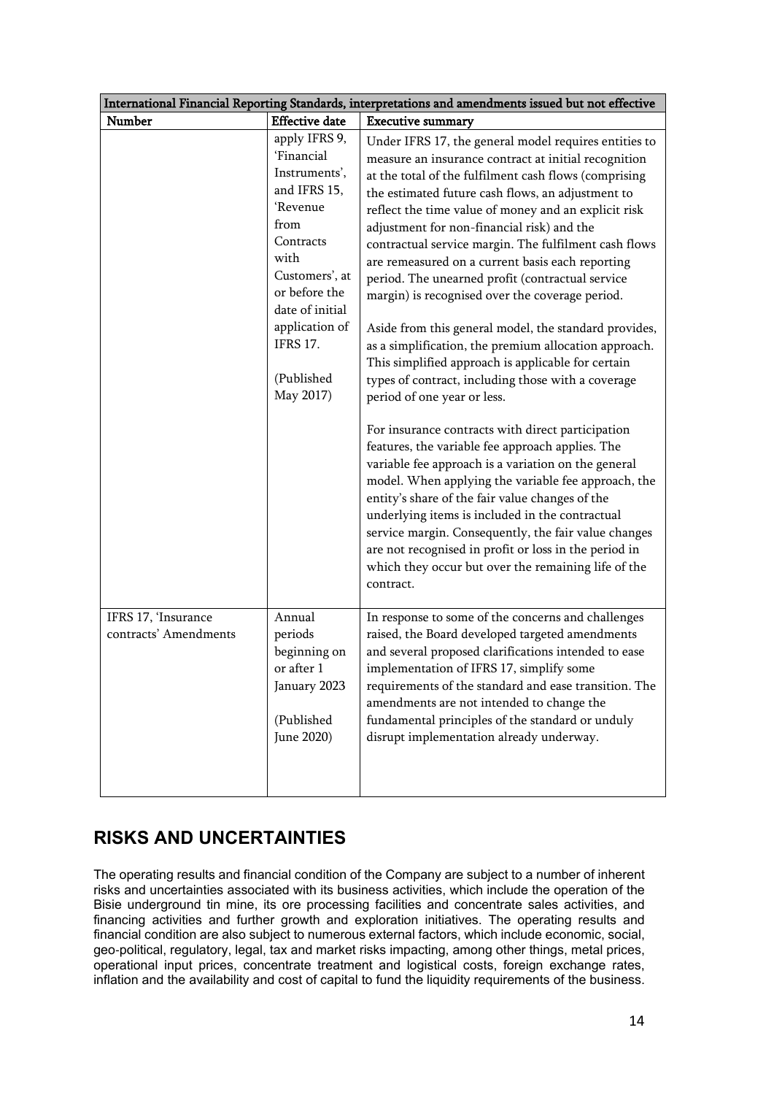| International Financial Reporting Standards, interpretations and amendments issued but not effective |                                                                                                                                                                                                                             |                                                                                                                                                                                                                                                                                                                                                                                                                                                                                                                                                                                                                                                                                                                                                                                                                                                                                                                                                                                                                                                                                                                                                                                                                                                                                                                                      |  |  |  |  |
|------------------------------------------------------------------------------------------------------|-----------------------------------------------------------------------------------------------------------------------------------------------------------------------------------------------------------------------------|--------------------------------------------------------------------------------------------------------------------------------------------------------------------------------------------------------------------------------------------------------------------------------------------------------------------------------------------------------------------------------------------------------------------------------------------------------------------------------------------------------------------------------------------------------------------------------------------------------------------------------------------------------------------------------------------------------------------------------------------------------------------------------------------------------------------------------------------------------------------------------------------------------------------------------------------------------------------------------------------------------------------------------------------------------------------------------------------------------------------------------------------------------------------------------------------------------------------------------------------------------------------------------------------------------------------------------------|--|--|--|--|
| Number                                                                                               | <b>Effective</b> date                                                                                                                                                                                                       | <b>Executive summary</b>                                                                                                                                                                                                                                                                                                                                                                                                                                                                                                                                                                                                                                                                                                                                                                                                                                                                                                                                                                                                                                                                                                                                                                                                                                                                                                             |  |  |  |  |
|                                                                                                      | apply IFRS 9,<br>'Financial<br>Instruments',<br>and IFRS 15,<br>'Revenue<br>from<br>Contracts<br>with<br>Customers', at<br>or before the<br>date of initial<br>application of<br><b>IFRS 17.</b><br>(Published<br>May 2017) | Under IFRS 17, the general model requires entities to<br>measure an insurance contract at initial recognition<br>at the total of the fulfilment cash flows (comprising<br>the estimated future cash flows, an adjustment to<br>reflect the time value of money and an explicit risk<br>adjustment for non-financial risk) and the<br>contractual service margin. The fulfilment cash flows<br>are remeasured on a current basis each reporting<br>period. The unearned profit (contractual service<br>margin) is recognised over the coverage period.<br>Aside from this general model, the standard provides,<br>as a simplification, the premium allocation approach.<br>This simplified approach is applicable for certain<br>types of contract, including those with a coverage<br>period of one year or less.<br>For insurance contracts with direct participation<br>features, the variable fee approach applies. The<br>variable fee approach is a variation on the general<br>model. When applying the variable fee approach, the<br>entity's share of the fair value changes of the<br>underlying items is included in the contractual<br>service margin. Consequently, the fair value changes<br>are not recognised in profit or loss in the period in<br>which they occur but over the remaining life of the<br>contract. |  |  |  |  |
| IFRS 17, 'Insurance<br>contracts' Amendments                                                         | Annual<br>periods<br>beginning on<br>or after 1<br>January 2023<br>(Published<br>June 2020)                                                                                                                                 | In response to some of the concerns and challenges<br>raised, the Board developed targeted amendments<br>and several proposed clarifications intended to ease<br>implementation of IFRS 17, simplify some<br>requirements of the standard and ease transition. The<br>amendments are not intended to change the<br>fundamental principles of the standard or unduly<br>disrupt implementation already underway.                                                                                                                                                                                                                                                                                                                                                                                                                                                                                                                                                                                                                                                                                                                                                                                                                                                                                                                      |  |  |  |  |

# <span id="page-13-0"></span>**RISKS AND UNCERTAINTIES**

The operating results and financial condition of the Company are subject to a number of inherent risks and uncertainties associated with its business activities, which include the operation of the Bisie underground tin mine, its ore processing facilities and concentrate sales activities, and financing activities and further growth and exploration initiatives. The operating results and financial condition are also subject to numerous external factors, which include economic, social, geo-political, regulatory, legal, tax and market risks impacting, among other things, metal prices, operational input prices, concentrate treatment and logistical costs, foreign exchange rates, inflation and the availability and cost of capital to fund the liquidity requirements of the business.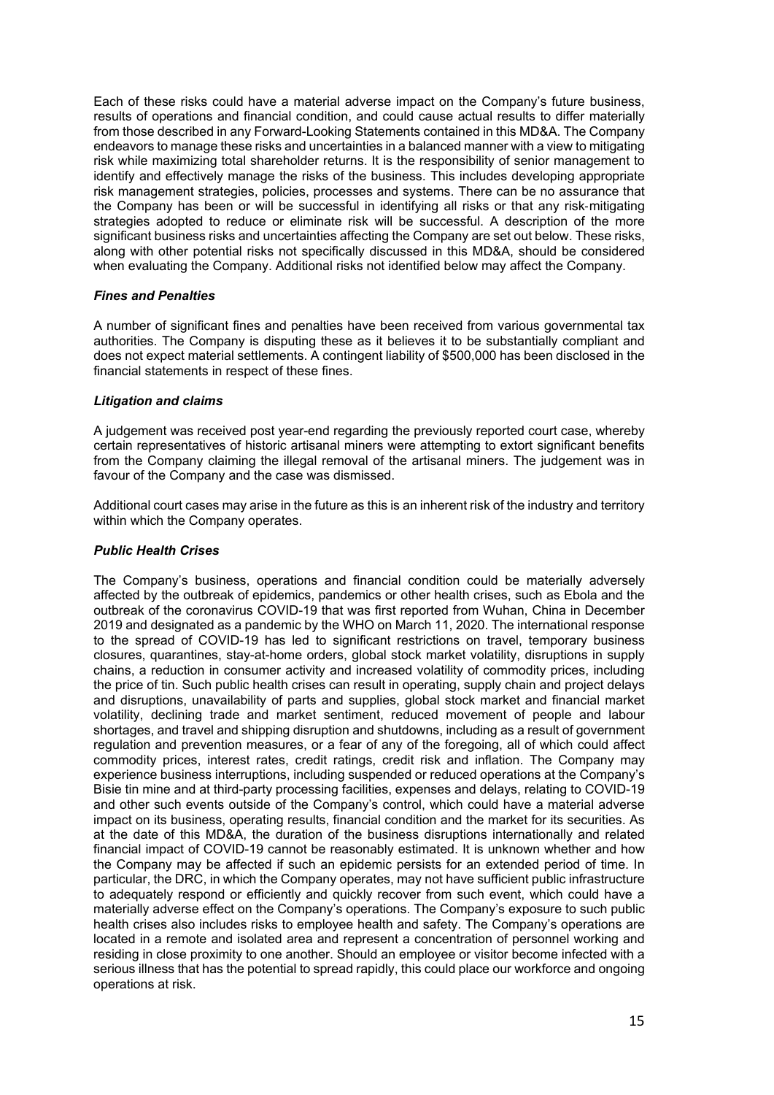Each of these risks could have a material adverse impact on the Company's future business, results of operations and financial condition, and could cause actual results to differ materially from those described in any Forward-Looking Statements contained in this MD&A. The Company endeavors to manage these risks and uncertainties in a balanced manner with a view to mitigating risk while maximizing total shareholder returns. It is the responsibility of senior management to identify and effectively manage the risks of the business. This includes developing appropriate risk management strategies, policies, processes and systems. There can be no assurance that the Company has been or will be successful in identifying all risks or that any risk‐mitigating strategies adopted to reduce or eliminate risk will be successful. A description of the more significant business risks and uncertainties affecting the Company are set out below. These risks, along with other potential risks not specifically discussed in this MD&A, should be considered when evaluating the Company. Additional risks not identified below may affect the Company.

#### *Fines and Penalties*

A number of significant fines and penalties have been received from various governmental tax authorities. The Company is disputing these as it believes it to be substantially compliant and does not expect material settlements. A contingent liability of \$500,000 has been disclosed in the financial statements in respect of these fines.

### *Litigation and claims*

A judgement was received post year-end regarding the previously reported court case, whereby certain representatives of historic artisanal miners were attempting to extort significant benefits from the Company claiming the illegal removal of the artisanal miners. The judgement was in favour of the Company and the case was dismissed.

Additional court cases may arise in the future as this is an inherent risk of the industry and territory within which the Company operates.

#### *Public Health Crises*

The Company's business, operations and financial condition could be materially adversely affected by the outbreak of epidemics, pandemics or other health crises, such as Ebola and the outbreak of the coronavirus COVID-19 that was first reported from Wuhan, China in December 2019 and designated as a pandemic by the WHO on March 11, 2020. The international response to the spread of COVID-19 has led to significant restrictions on travel, temporary business closures, quarantines, stay-at-home orders, global stock market volatility, disruptions in supply chains, a reduction in consumer activity and increased volatility of commodity prices, including the price of tin. Such public health crises can result in operating, supply chain and project delays and disruptions, unavailability of parts and supplies, global stock market and financial market volatility, declining trade and market sentiment, reduced movement of people and labour shortages, and travel and shipping disruption and shutdowns, including as a result of government regulation and prevention measures, or a fear of any of the foregoing, all of which could affect commodity prices, interest rates, credit ratings, credit risk and inflation. The Company may experience business interruptions, including suspended or reduced operations at the Company's Bisie tin mine and at third-party processing facilities, expenses and delays, relating to COVID-19 and other such events outside of the Company's control, which could have a material adverse impact on its business, operating results, financial condition and the market for its securities. As at the date of this MD&A, the duration of the business disruptions internationally and related financial impact of COVID-19 cannot be reasonably estimated. It is unknown whether and how the Company may be affected if such an epidemic persists for an extended period of time. In particular, the DRC, in which the Company operates, may not have sufficient public infrastructure to adequately respond or efficiently and quickly recover from such event, which could have a materially adverse effect on the Company's operations. The Company's exposure to such public health crises also includes risks to employee health and safety. The Company's operations are located in a remote and isolated area and represent a concentration of personnel working and residing in close proximity to one another. Should an employee or visitor become infected with a serious illness that has the potential to spread rapidly, this could place our workforce and ongoing operations at risk.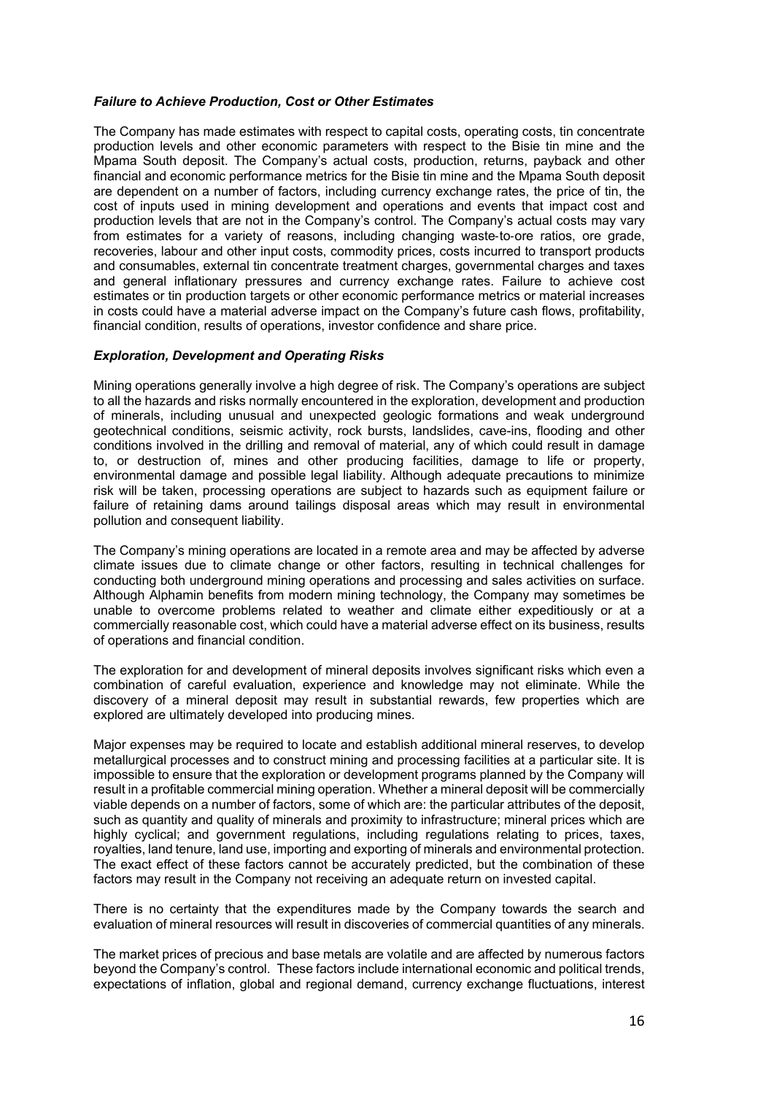#### *Failure to Achieve Production, Cost or Other Estimates*

The Company has made estimates with respect to capital costs, operating costs, tin concentrate production levels and other economic parameters with respect to the Bisie tin mine and the Mpama South deposit. The Company's actual costs, production, returns, payback and other financial and economic performance metrics for the Bisie tin mine and the Mpama South deposit are dependent on a number of factors, including currency exchange rates, the price of tin, the cost of inputs used in mining development and operations and events that impact cost and production levels that are not in the Company's control. The Company's actual costs may vary from estimates for a variety of reasons, including changing waste-to-ore ratios, ore grade, recoveries, labour and other input costs, commodity prices, costs incurred to transport products and consumables, external tin concentrate treatment charges, governmental charges and taxes and general inflationary pressures and currency exchange rates. Failure to achieve cost estimates or tin production targets or other economic performance metrics or material increases in costs could have a material adverse impact on the Company's future cash flows, profitability, financial condition, results of operations, investor confidence and share price.

#### *Exploration, Development and Operating Risks*

Mining operations generally involve a high degree of risk. The Company's operations are subject to all the hazards and risks normally encountered in the exploration, development and production of minerals, including unusual and unexpected geologic formations and weak underground geotechnical conditions, seismic activity, rock bursts, landslides, cave-ins, flooding and other conditions involved in the drilling and removal of material, any of which could result in damage to, or destruction of, mines and other producing facilities, damage to life or property, environmental damage and possible legal liability. Although adequate precautions to minimize risk will be taken, processing operations are subject to hazards such as equipment failure or failure of retaining dams around tailings disposal areas which may result in environmental pollution and consequent liability.

The Company's mining operations are located in a remote area and may be affected by adverse climate issues due to climate change or other factors, resulting in technical challenges for conducting both underground mining operations and processing and sales activities on surface. Although Alphamin benefits from modern mining technology, the Company may sometimes be unable to overcome problems related to weather and climate either expeditiously or at a commercially reasonable cost, which could have a material adverse effect on its business, results of operations and financial condition.

The exploration for and development of mineral deposits involves significant risks which even a combination of careful evaluation, experience and knowledge may not eliminate. While the discovery of a mineral deposit may result in substantial rewards, few properties which are explored are ultimately developed into producing mines.

Major expenses may be required to locate and establish additional mineral reserves, to develop metallurgical processes and to construct mining and processing facilities at a particular site. It is impossible to ensure that the exploration or development programs planned by the Company will result in a profitable commercial mining operation. Whether a mineral deposit will be commercially viable depends on a number of factors, some of which are: the particular attributes of the deposit, such as quantity and quality of minerals and proximity to infrastructure; mineral prices which are highly cyclical; and government regulations, including regulations relating to prices, taxes, royalties, land tenure, land use, importing and exporting of minerals and environmental protection. The exact effect of these factors cannot be accurately predicted, but the combination of these factors may result in the Company not receiving an adequate return on invested capital.

There is no certainty that the expenditures made by the Company towards the search and evaluation of mineral resources will result in discoveries of commercial quantities of any minerals.

The market prices of precious and base metals are volatile and are affected by numerous factors beyond the Company's control. These factors include international economic and political trends, expectations of inflation, global and regional demand, currency exchange fluctuations, interest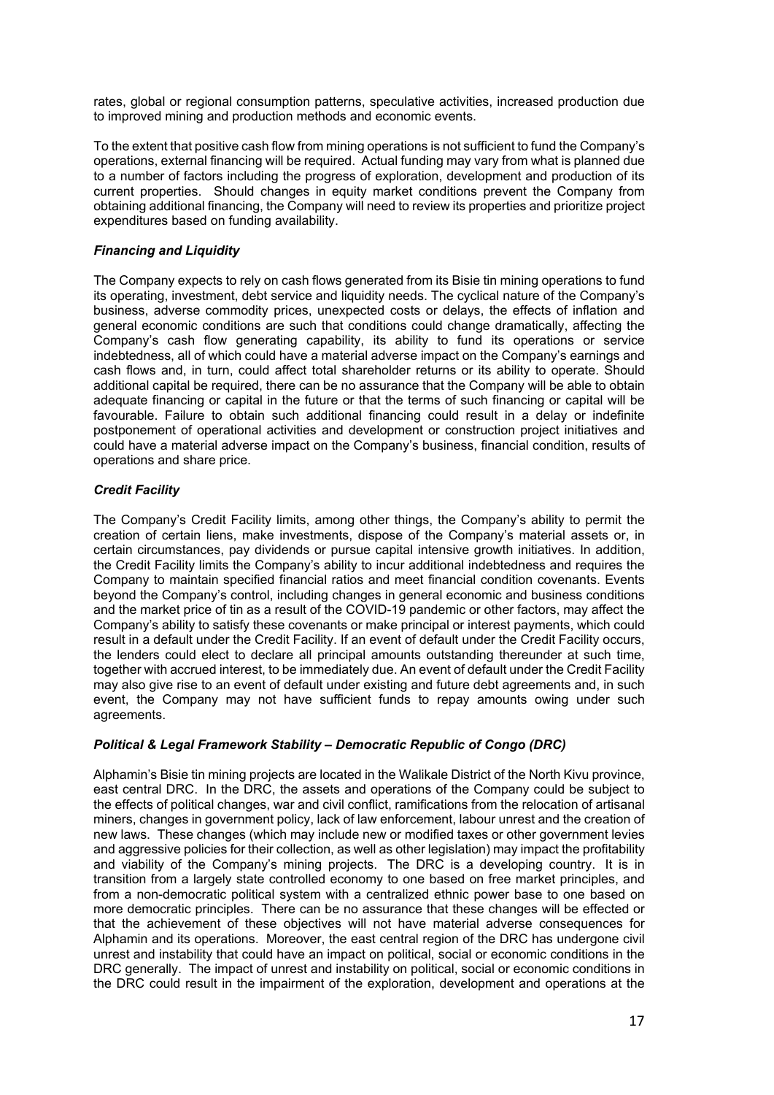rates, global or regional consumption patterns, speculative activities, increased production due to improved mining and production methods and economic events.

To the extent that positive cash flow from mining operations is not sufficient to fund the Company's operations, external financing will be required. Actual funding may vary from what is planned due to a number of factors including the progress of exploration, development and production of its current properties. Should changes in equity market conditions prevent the Company from obtaining additional financing, the Company will need to review its properties and prioritize project expenditures based on funding availability.

### *Financing and Liquidity*

The Company expects to rely on cash flows generated from its Bisie tin mining operations to fund its operating, investment, debt service and liquidity needs. The cyclical nature of the Company's business, adverse commodity prices, unexpected costs or delays, the effects of inflation and general economic conditions are such that conditions could change dramatically, affecting the Company's cash flow generating capability, its ability to fund its operations or service indebtedness, all of which could have a material adverse impact on the Company's earnings and cash flows and, in turn, could affect total shareholder returns or its ability to operate. Should additional capital be required, there can be no assurance that the Company will be able to obtain adequate financing or capital in the future or that the terms of such financing or capital will be favourable. Failure to obtain such additional financing could result in a delay or indefinite postponement of operational activities and development or construction project initiatives and could have a material adverse impact on the Company's business, financial condition, results of operations and share price.

## *Credit Facility*

The Company's Credit Facility limits, among other things, the Company's ability to permit the creation of certain liens, make investments, dispose of the Company's material assets or, in certain circumstances, pay dividends or pursue capital intensive growth initiatives. In addition, the Credit Facility limits the Company's ability to incur additional indebtedness and requires the Company to maintain specified financial ratios and meet financial condition covenants. Events beyond the Company's control, including changes in general economic and business conditions and the market price of tin as a result of the COVID-19 pandemic or other factors, may affect the Company's ability to satisfy these covenants or make principal or interest payments, which could result in a default under the Credit Facility. If an event of default under the Credit Facility occurs, the lenders could elect to declare all principal amounts outstanding thereunder at such time, together with accrued interest, to be immediately due. An event of default under the Credit Facility may also give rise to an event of default under existing and future debt agreements and, in such event, the Company may not have sufficient funds to repay amounts owing under such agreements.

### *Political & Legal Framework Stability – Democratic Republic of Congo (DRC)*

Alphamin's Bisie tin mining projects are located in the Walikale District of the North Kivu province, east central DRC. In the DRC, the assets and operations of the Company could be subject to the effects of political changes, war and civil conflict, ramifications from the relocation of artisanal miners, changes in government policy, lack of law enforcement, labour unrest and the creation of new laws. These changes (which may include new or modified taxes or other government levies and aggressive policies for their collection, as well as other legislation) may impact the profitability and viability of the Company's mining projects. The DRC is a developing country. It is in transition from a largely state controlled economy to one based on free market principles, and from a non-democratic political system with a centralized ethnic power base to one based on more democratic principles. There can be no assurance that these changes will be effected or that the achievement of these objectives will not have material adverse consequences for Alphamin and its operations. Moreover, the east central region of the DRC has undergone civil unrest and instability that could have an impact on political, social or economic conditions in the DRC generally. The impact of unrest and instability on political, social or economic conditions in the DRC could result in the impairment of the exploration, development and operations at the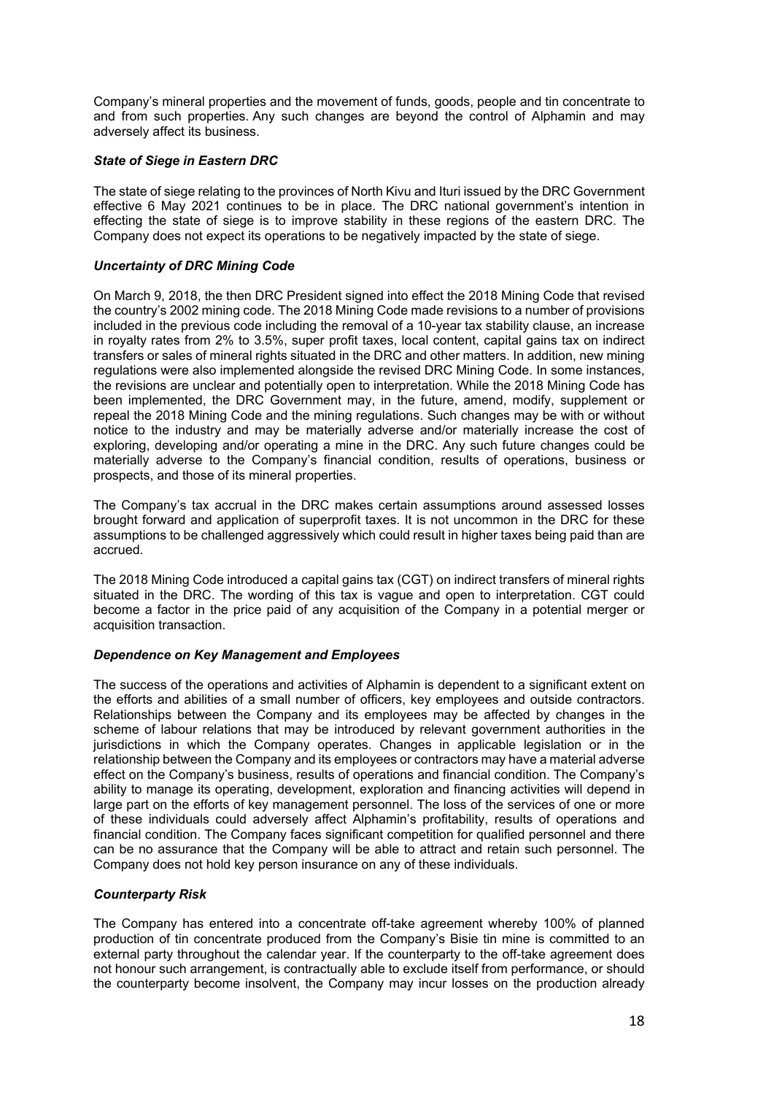Company's mineral properties and the movement of funds, goods, people and tin concentrate to and from such properties. Any such changes are beyond the control of Alphamin and may adversely affect its business.

#### *State of Siege in Eastern DRC*

The state of siege relating to the provinces of North Kivu and Ituri issued by the DRC Government effective 6 May 2021 continues to be in place. The DRC national government's intention in effecting the state of siege is to improve stability in these regions of the eastern DRC. The Company does not expect its operations to be negatively impacted by the state of siege.

#### *Uncertainty of DRC Mining Code*

On March 9, 2018, the then DRC President signed into effect the 2018 Mining Code that revised the country's 2002 mining code. The 2018 Mining Code made revisions to a number of provisions included in the previous code including the removal of a 10-year tax stability clause, an increase in royalty rates from 2% to 3.5%, super profit taxes, local content, capital gains tax on indirect transfers or sales of mineral rights situated in the DRC and other matters. In addition, new mining regulations were also implemented alongside the revised DRC Mining Code. In some instances, the revisions are unclear and potentially open to interpretation. While the 2018 Mining Code has been implemented, the DRC Government may, in the future, amend, modify, supplement or repeal the 2018 Mining Code and the mining regulations. Such changes may be with or without notice to the industry and may be materially adverse and/or materially increase the cost of exploring, developing and/or operating a mine in the DRC. Any such future changes could be materially adverse to the Company's financial condition, results of operations, business or prospects, and those of its mineral properties.

The Company's tax accrual in the DRC makes certain assumptions around assessed losses brought forward and application of superprofit taxes. It is not uncommon in the DRC for these assumptions to be challenged aggressively which could result in higher taxes being paid than are accrued.

The 2018 Mining Code introduced a capital gains tax (CGT) on indirect transfers of mineral rights situated in the DRC. The wording of this tax is vague and open to interpretation. CGT could become a factor in the price paid of any acquisition of the Company in a potential merger or acquisition transaction.

#### *Dependence on Key Management and Employees*

The success of the operations and activities of Alphamin is dependent to a significant extent on the efforts and abilities of a small number of officers, key employees and outside contractors. Relationships between the Company and its employees may be affected by changes in the scheme of labour relations that may be introduced by relevant government authorities in the jurisdictions in which the Company operates. Changes in applicable legislation or in the relationship between the Company and its employees or contractors may have a material adverse effect on the Company's business, results of operations and financial condition. The Company's ability to manage its operating, development, exploration and financing activities will depend in large part on the efforts of key management personnel. The loss of the services of one or more of these individuals could adversely affect Alphamin's profitability, results of operations and financial condition. The Company faces significant competition for qualified personnel and there can be no assurance that the Company will be able to attract and retain such personnel. The Company does not hold key person insurance on any of these individuals.

### *Counterparty Risk*

The Company has entered into a concentrate off-take agreement whereby 100% of planned production of tin concentrate produced from the Company's Bisie tin mine is committed to an external party throughout the calendar year. If the counterparty to the off-take agreement does not honour such arrangement, is contractually able to exclude itself from performance, or should the counterparty become insolvent, the Company may incur losses on the production already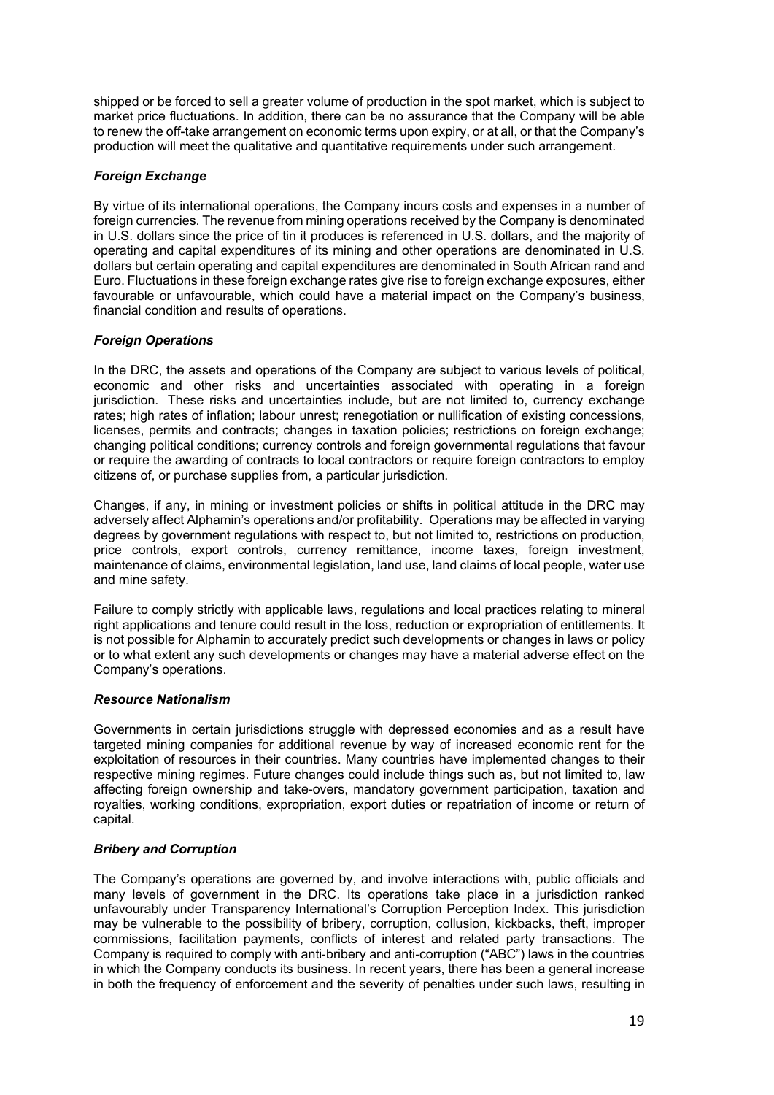shipped or be forced to sell a greater volume of production in the spot market, which is subject to market price fluctuations. In addition, there can be no assurance that the Company will be able to renew the off-take arrangement on economic terms upon expiry, or at all, or that the Company's production will meet the qualitative and quantitative requirements under such arrangement.

## *Foreign Exchange*

By virtue of its international operations, the Company incurs costs and expenses in a number of foreign currencies. The revenue from mining operations received by the Company is denominated in U.S. dollars since the price of tin it produces is referenced in U.S. dollars, and the majority of operating and capital expenditures of its mining and other operations are denominated in U.S. dollars but certain operating and capital expenditures are denominated in South African rand and Euro. Fluctuations in these foreign exchange rates give rise to foreign exchange exposures, either favourable or unfavourable, which could have a material impact on the Company's business, financial condition and results of operations.

## *Foreign Operations*

In the DRC, the assets and operations of the Company are subject to various levels of political, economic and other risks and uncertainties associated with operating in a foreign jurisdiction. These risks and uncertainties include, but are not limited to, currency exchange rates; high rates of inflation; labour unrest; renegotiation or nullification of existing concessions, licenses, permits and contracts; changes in taxation policies; restrictions on foreign exchange; changing political conditions; currency controls and foreign governmental regulations that favour or require the awarding of contracts to local contractors or require foreign contractors to employ citizens of, or purchase supplies from, a particular jurisdiction.

Changes, if any, in mining or investment policies or shifts in political attitude in the DRC may adversely affect Alphamin's operations and/or profitability. Operations may be affected in varying degrees by government regulations with respect to, but not limited to, restrictions on production, price controls, export controls, currency remittance, income taxes, foreign investment, maintenance of claims, environmental legislation, land use, land claims of local people, water use and mine safety.

Failure to comply strictly with applicable laws, regulations and local practices relating to mineral right applications and tenure could result in the loss, reduction or expropriation of entitlements. It is not possible for Alphamin to accurately predict such developments or changes in laws or policy or to what extent any such developments or changes may have a material adverse effect on the Company's operations.

### *Resource Nationalism*

Governments in certain jurisdictions struggle with depressed economies and as a result have targeted mining companies for additional revenue by way of increased economic rent for the exploitation of resources in their countries. Many countries have implemented changes to their respective mining regimes. Future changes could include things such as, but not limited to, law affecting foreign ownership and take-overs, mandatory government participation, taxation and royalties, working conditions, expropriation, export duties or repatriation of income or return of capital.

### *Bribery and Corruption*

The Company's operations are governed by, and involve interactions with, public officials and many levels of government in the DRC. Its operations take place in a jurisdiction ranked unfavourably under Transparency International's Corruption Perception Index. This jurisdiction may be vulnerable to the possibility of bribery, corruption, collusion, kickbacks, theft, improper commissions, facilitation payments, conflicts of interest and related party transactions. The Company is required to comply with anti‐bribery and anti‐corruption ("ABC") laws in the countries in which the Company conducts its business. In recent years, there has been a general increase in both the frequency of enforcement and the severity of penalties under such laws, resulting in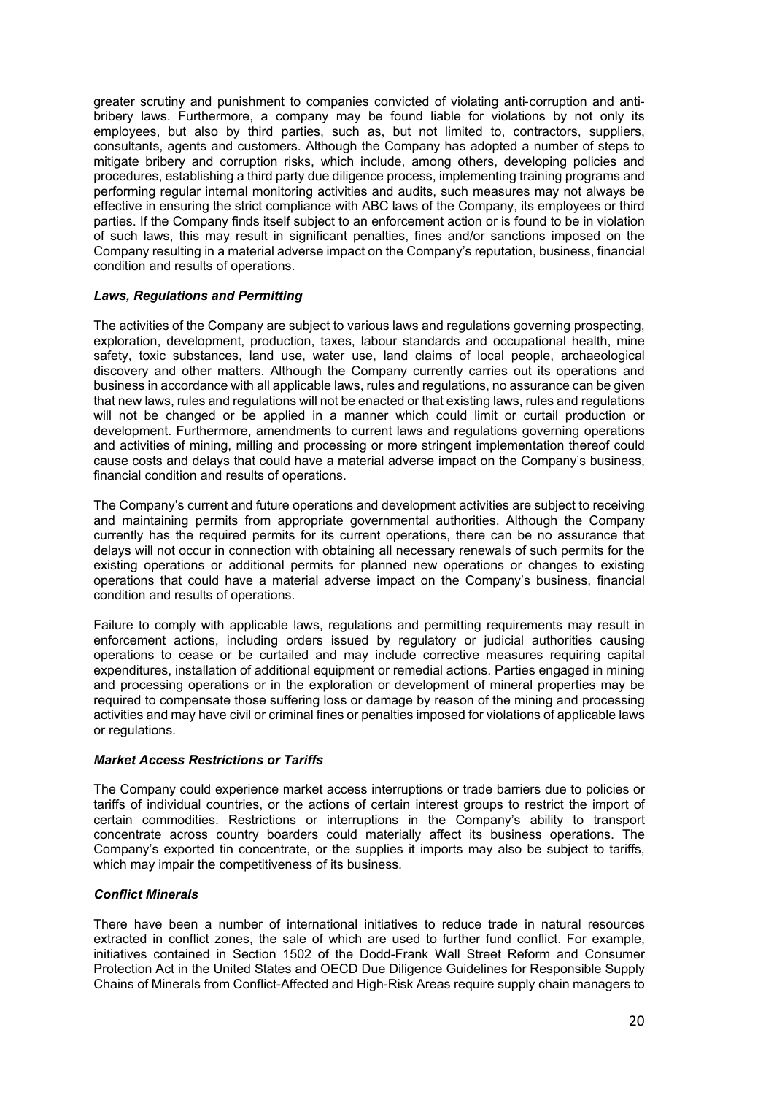greater scrutiny and punishment to companies convicted of violating anti‐corruption and anti‐ bribery laws. Furthermore, a company may be found liable for violations by not only its employees, but also by third parties, such as, but not limited to, contractors, suppliers, consultants, agents and customers. Although the Company has adopted a number of steps to mitigate bribery and corruption risks, which include, among others, developing policies and procedures, establishing a third party due diligence process, implementing training programs and performing regular internal monitoring activities and audits, such measures may not always be effective in ensuring the strict compliance with ABC laws of the Company, its employees or third parties. If the Company finds itself subject to an enforcement action or is found to be in violation of such laws, this may result in significant penalties, fines and/or sanctions imposed on the Company resulting in a material adverse impact on the Company's reputation, business, financial condition and results of operations.

#### *Laws, Regulations and Permitting*

The activities of the Company are subject to various laws and regulations governing prospecting, exploration, development, production, taxes, labour standards and occupational health, mine safety, toxic substances, land use, water use, land claims of local people, archaeological discovery and other matters. Although the Company currently carries out its operations and business in accordance with all applicable laws, rules and regulations, no assurance can be given that new laws, rules and regulations will not be enacted or that existing laws, rules and regulations will not be changed or be applied in a manner which could limit or curtail production or development. Furthermore, amendments to current laws and regulations governing operations and activities of mining, milling and processing or more stringent implementation thereof could cause costs and delays that could have a material adverse impact on the Company's business, financial condition and results of operations.

The Company's current and future operations and development activities are subject to receiving and maintaining permits from appropriate governmental authorities. Although the Company currently has the required permits for its current operations, there can be no assurance that delays will not occur in connection with obtaining all necessary renewals of such permits for the existing operations or additional permits for planned new operations or changes to existing operations that could have a material adverse impact on the Company's business, financial condition and results of operations.

Failure to comply with applicable laws, regulations and permitting requirements may result in enforcement actions, including orders issued by regulatory or judicial authorities causing operations to cease or be curtailed and may include corrective measures requiring capital expenditures, installation of additional equipment or remedial actions. Parties engaged in mining and processing operations or in the exploration or development of mineral properties may be required to compensate those suffering loss or damage by reason of the mining and processing activities and may have civil or criminal fines or penalties imposed for violations of applicable laws or regulations.

#### *Market Access Restrictions or Tariffs*

The Company could experience market access interruptions or trade barriers due to policies or tariffs of individual countries, or the actions of certain interest groups to restrict the import of certain commodities. Restrictions or interruptions in the Company's ability to transport concentrate across country boarders could materially affect its business operations. The Company's exported tin concentrate, or the supplies it imports may also be subject to tariffs, which may impair the competitiveness of its business.

#### *Conflict Minerals*

There have been a number of international initiatives to reduce trade in natural resources extracted in conflict zones, the sale of which are used to further fund conflict. For example, initiatives contained in Section 1502 of the Dodd-Frank Wall Street Reform and Consumer Protection Act in the United States and OECD Due Diligence Guidelines for Responsible Supply Chains of Minerals from Conflict-Affected and High-Risk Areas require supply chain managers to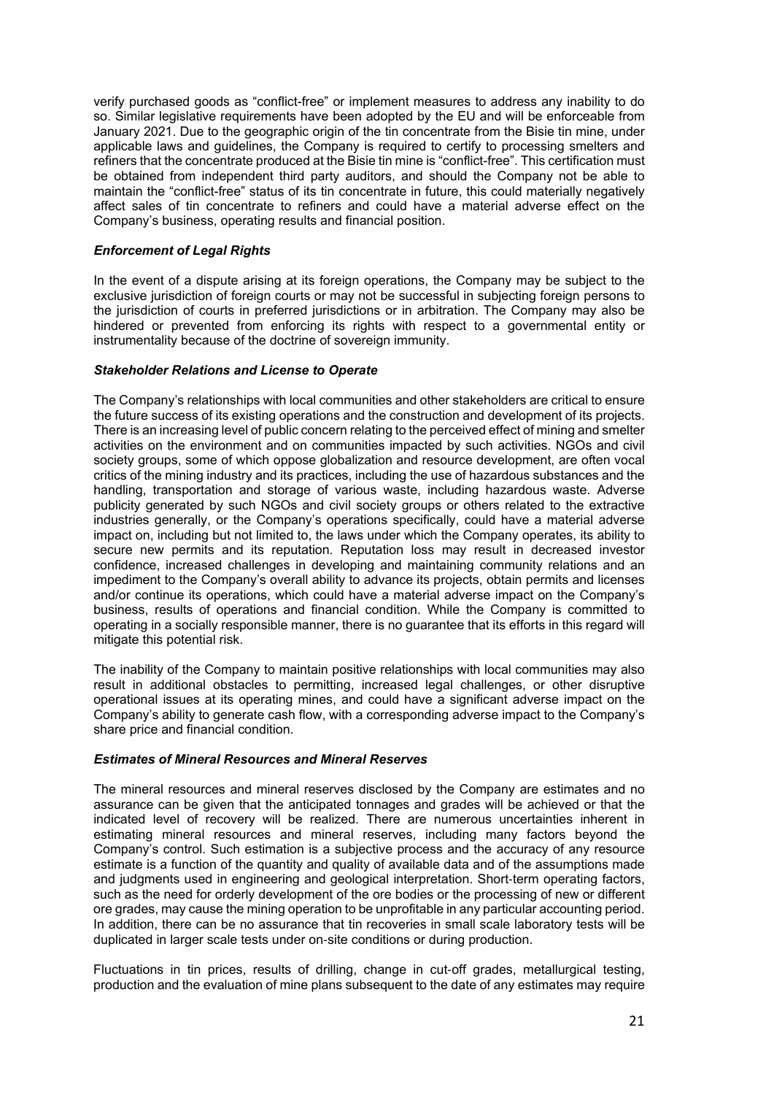verify purchased goods as "conflict-free" or implement measures to address any inability to do so. Similar legislative requirements have been adopted by the EU and will be enforceable from January 2021. Due to the geographic origin of the tin concentrate from the Bisie tin mine, under applicable laws and guidelines, the Company is required to certify to processing smelters and refiners that the concentrate produced at the Bisie tin mine is "conflict-free". This certification must be obtained from independent third party auditors, and should the Company not be able to maintain the "conflict-free" status of its tin concentrate in future, this could materially negatively affect sales of tin concentrate to refiners and could have a material adverse effect on the Company's business, operating results and financial position.

#### *Enforcement of Legal Rights*

In the event of a dispute arising at its foreign operations, the Company may be subject to the exclusive jurisdiction of foreign courts or may not be successful in subjecting foreign persons to the jurisdiction of courts in preferred jurisdictions or in arbitration. The Company may also be hindered or prevented from enforcing its rights with respect to a governmental entity or instrumentality because of the doctrine of sovereign immunity.

#### *Stakeholder Relations and License to Operate*

The Company's relationships with local communities and other stakeholders are critical to ensure the future success of its existing operations and the construction and development of its projects. There is an increasing level of public concern relating to the perceived effect of mining and smelter activities on the environment and on communities impacted by such activities. NGOs and civil society groups, some of which oppose globalization and resource development, are often vocal critics of the mining industry and its practices, including the use of hazardous substances and the handling, transportation and storage of various waste, including hazardous waste. Adverse publicity generated by such NGOs and civil society groups or others related to the extractive industries generally, or the Company's operations specifically, could have a material adverse impact on, including but not limited to, the laws under which the Company operates, its ability to secure new permits and its reputation. Reputation loss may result in decreased investor confidence, increased challenges in developing and maintaining community relations and an impediment to the Company's overall ability to advance its projects, obtain permits and licenses and/or continue its operations, which could have a material adverse impact on the Company's business, results of operations and financial condition. While the Company is committed to operating in a socially responsible manner, there is no guarantee that its efforts in this regard will mitigate this potential risk.

The inability of the Company to maintain positive relationships with local communities may also result in additional obstacles to permitting, increased legal challenges, or other disruptive operational issues at its operating mines, and could have a significant adverse impact on the Company's ability to generate cash flow, with a corresponding adverse impact to the Company's share price and financial condition.

#### *Estimates of Mineral Resources and Mineral Reserves*

The mineral resources and mineral reserves disclosed by the Company are estimates and no assurance can be given that the anticipated tonnages and grades will be achieved or that the indicated level of recovery will be realized. There are numerous uncertainties inherent in estimating mineral resources and mineral reserves, including many factors beyond the Company's control. Such estimation is a subjective process and the accuracy of any resource estimate is a function of the quantity and quality of available data and of the assumptions made and judgments used in engineering and geological interpretation. Short-term operating factors, such as the need for orderly development of the ore bodies or the processing of new or different ore grades, may cause the mining operation to be unprofitable in any particular accounting period. In addition, there can be no assurance that tin recoveries in small scale laboratory tests will be duplicated in larger scale tests under on‐site conditions or during production.

Fluctuations in tin prices, results of drilling, change in cut-off grades, metallurgical testing, production and the evaluation of mine plans subsequent to the date of any estimates may require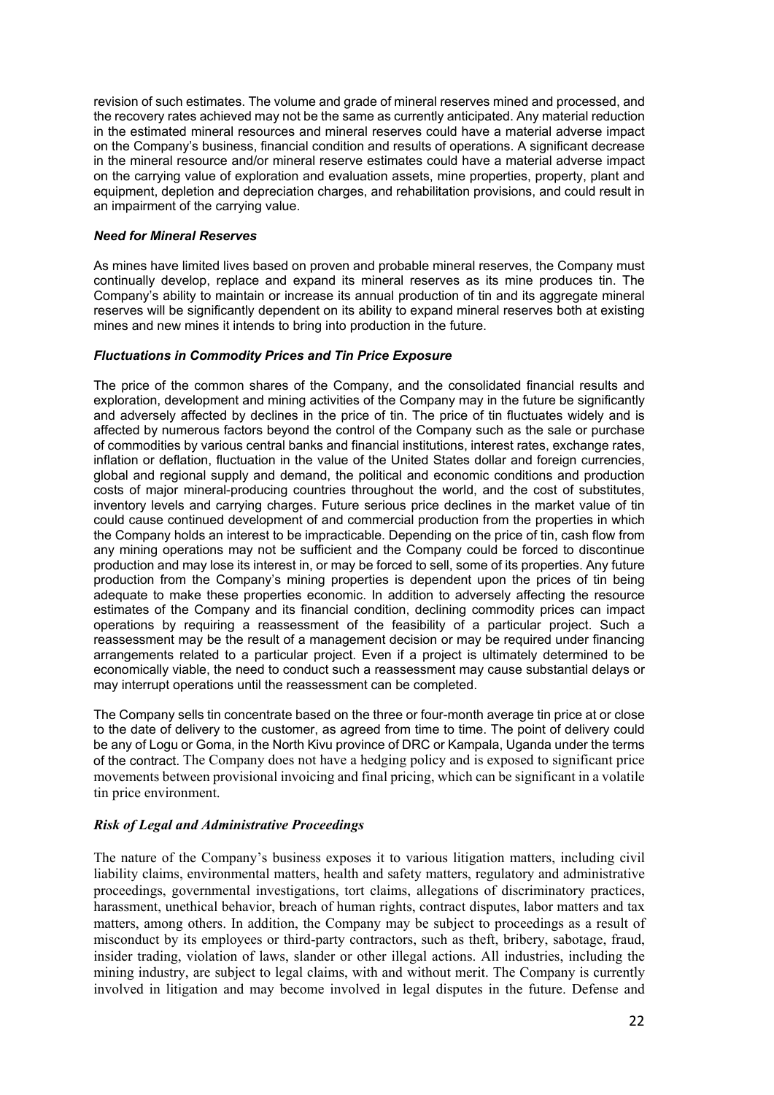revision of such estimates. The volume and grade of mineral reserves mined and processed, and the recovery rates achieved may not be the same as currently anticipated. Any material reduction in the estimated mineral resources and mineral reserves could have a material adverse impact on the Company's business, financial condition and results of operations. A significant decrease in the mineral resource and/or mineral reserve estimates could have a material adverse impact on the carrying value of exploration and evaluation assets, mine properties, property, plant and equipment, depletion and depreciation charges, and rehabilitation provisions, and could result in an impairment of the carrying value.

#### *Need for Mineral Reserves*

As mines have limited lives based on proven and probable mineral reserves, the Company must continually develop, replace and expand its mineral reserves as its mine produces tin. The Company's ability to maintain or increase its annual production of tin and its aggregate mineral reserves will be significantly dependent on its ability to expand mineral reserves both at existing mines and new mines it intends to bring into production in the future.

#### *Fluctuations in Commodity Prices and Tin Price Exposure*

The price of the common shares of the Company, and the consolidated financial results and exploration, development and mining activities of the Company may in the future be significantly and adversely affected by declines in the price of tin. The price of tin fluctuates widely and is affected by numerous factors beyond the control of the Company such as the sale or purchase of commodities by various central banks and financial institutions, interest rates, exchange rates, inflation or deflation, fluctuation in the value of the United States dollar and foreign currencies, global and regional supply and demand, the political and economic conditions and production costs of major mineral-producing countries throughout the world, and the cost of substitutes, inventory levels and carrying charges. Future serious price declines in the market value of tin could cause continued development of and commercial production from the properties in which the Company holds an interest to be impracticable. Depending on the price of tin, cash flow from any mining operations may not be sufficient and the Company could be forced to discontinue production and may lose its interest in, or may be forced to sell, some of its properties. Any future production from the Company's mining properties is dependent upon the prices of tin being adequate to make these properties economic. In addition to adversely affecting the resource estimates of the Company and its financial condition, declining commodity prices can impact operations by requiring a reassessment of the feasibility of a particular project. Such a reassessment may be the result of a management decision or may be required under financing arrangements related to a particular project. Even if a project is ultimately determined to be economically viable, the need to conduct such a reassessment may cause substantial delays or may interrupt operations until the reassessment can be completed.

The Company sells tin concentrate based on the three or four-month average tin price at or close to the date of delivery to the customer, as agreed from time to time. The point of delivery could be any of Logu or Goma, in the North Kivu province of DRC or Kampala, Uganda under the terms of the contract. The Company does not have a hedging policy and is exposed to significant price movements between provisional invoicing and final pricing, which can be significant in a volatile tin price environment.

### *Risk of Legal and Administrative Proceedings*

The nature of the Company's business exposes it to various litigation matters, including civil liability claims, environmental matters, health and safety matters, regulatory and administrative proceedings, governmental investigations, tort claims, allegations of discriminatory practices, harassment, unethical behavior, breach of human rights, contract disputes, labor matters and tax matters, among others. In addition, the Company may be subject to proceedings as a result of misconduct by its employees or third-party contractors, such as theft, bribery, sabotage, fraud, insider trading, violation of laws, slander or other illegal actions. All industries, including the mining industry, are subject to legal claims, with and without merit. The Company is currently involved in litigation and may become involved in legal disputes in the future. Defense and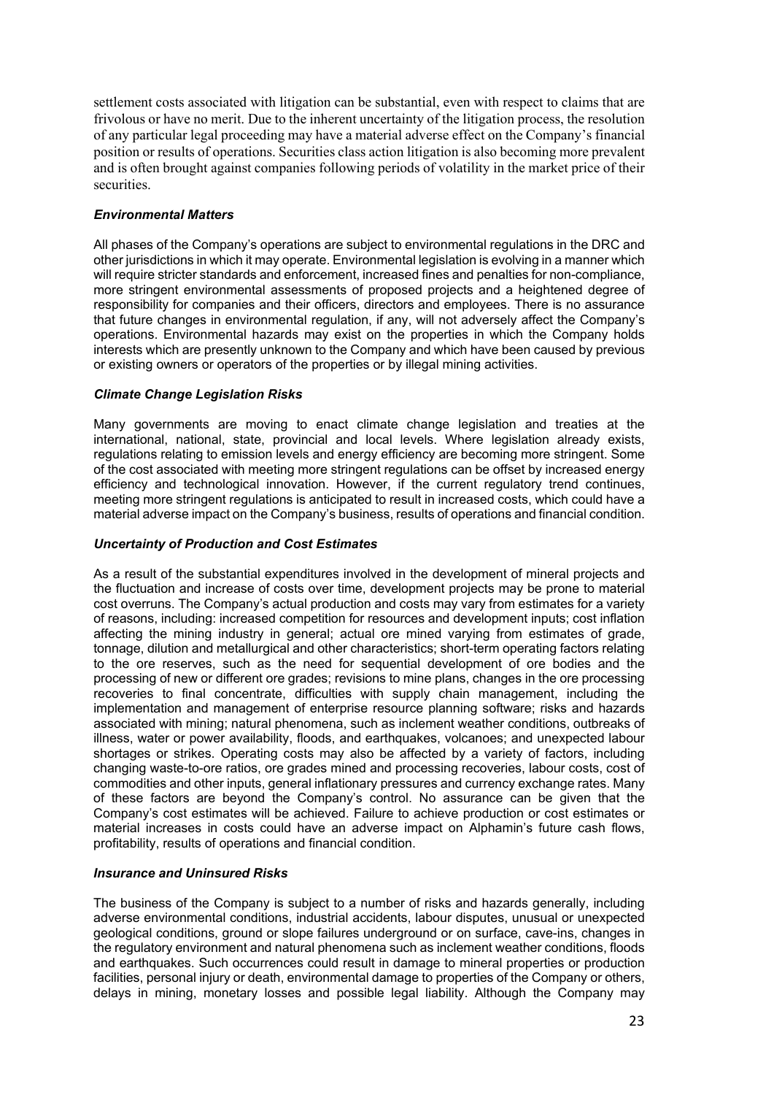settlement costs associated with litigation can be substantial, even with respect to claims that are frivolous or have no merit. Due to the inherent uncertainty of the litigation process, the resolution of any particular legal proceeding may have a material adverse effect on the Company's financial position or results of operations. Securities class action litigation is also becoming more prevalent and is often brought against companies following periods of volatility in the market price of their securities.

### *Environmental Matters*

All phases of the Company's operations are subject to environmental regulations in the DRC and other jurisdictions in which it may operate. Environmental legislation is evolving in a manner which will require stricter standards and enforcement, increased fines and penalties for non-compliance, more stringent environmental assessments of proposed projects and a heightened degree of responsibility for companies and their officers, directors and employees. There is no assurance that future changes in environmental regulation, if any, will not adversely affect the Company's operations. Environmental hazards may exist on the properties in which the Company holds interests which are presently unknown to the Company and which have been caused by previous or existing owners or operators of the properties or by illegal mining activities.

### *Climate Change Legislation Risks*

Many governments are moving to enact climate change legislation and treaties at the international, national, state, provincial and local levels. Where legislation already exists, regulations relating to emission levels and energy efficiency are becoming more stringent. Some of the cost associated with meeting more stringent regulations can be offset by increased energy efficiency and technological innovation. However, if the current regulatory trend continues, meeting more stringent regulations is anticipated to result in increased costs, which could have a material adverse impact on the Company's business, results of operations and financial condition.

#### *Uncertainty of Production and Cost Estimates*

As a result of the substantial expenditures involved in the development of mineral projects and the fluctuation and increase of costs over time, development projects may be prone to material cost overruns. The Company's actual production and costs may vary from estimates for a variety of reasons, including: increased competition for resources and development inputs; cost inflation affecting the mining industry in general; actual ore mined varying from estimates of grade, tonnage, dilution and metallurgical and other characteristics; short-term operating factors relating to the ore reserves, such as the need for sequential development of ore bodies and the processing of new or different ore grades; revisions to mine plans, changes in the ore processing recoveries to final concentrate, difficulties with supply chain management, including the implementation and management of enterprise resource planning software; risks and hazards associated with mining; natural phenomena, such as inclement weather conditions, outbreaks of illness, water or power availability, floods, and earthquakes, volcanoes; and unexpected labour shortages or strikes. Operating costs may also be affected by a variety of factors, including changing waste-to-ore ratios, ore grades mined and processing recoveries, labour costs, cost of commodities and other inputs, general inflationary pressures and currency exchange rates. Many of these factors are beyond the Company's control. No assurance can be given that the Company's cost estimates will be achieved. Failure to achieve production or cost estimates or material increases in costs could have an adverse impact on Alphamin's future cash flows, profitability, results of operations and financial condition.

#### *Insurance and Uninsured Risks*

The business of the Company is subject to a number of risks and hazards generally, including adverse environmental conditions, industrial accidents, labour disputes, unusual or unexpected geological conditions, ground or slope failures underground or on surface, cave-ins, changes in the regulatory environment and natural phenomena such as inclement weather conditions, floods and earthquakes. Such occurrences could result in damage to mineral properties or production facilities, personal injury or death, environmental damage to properties of the Company or others, delays in mining, monetary losses and possible legal liability. Although the Company may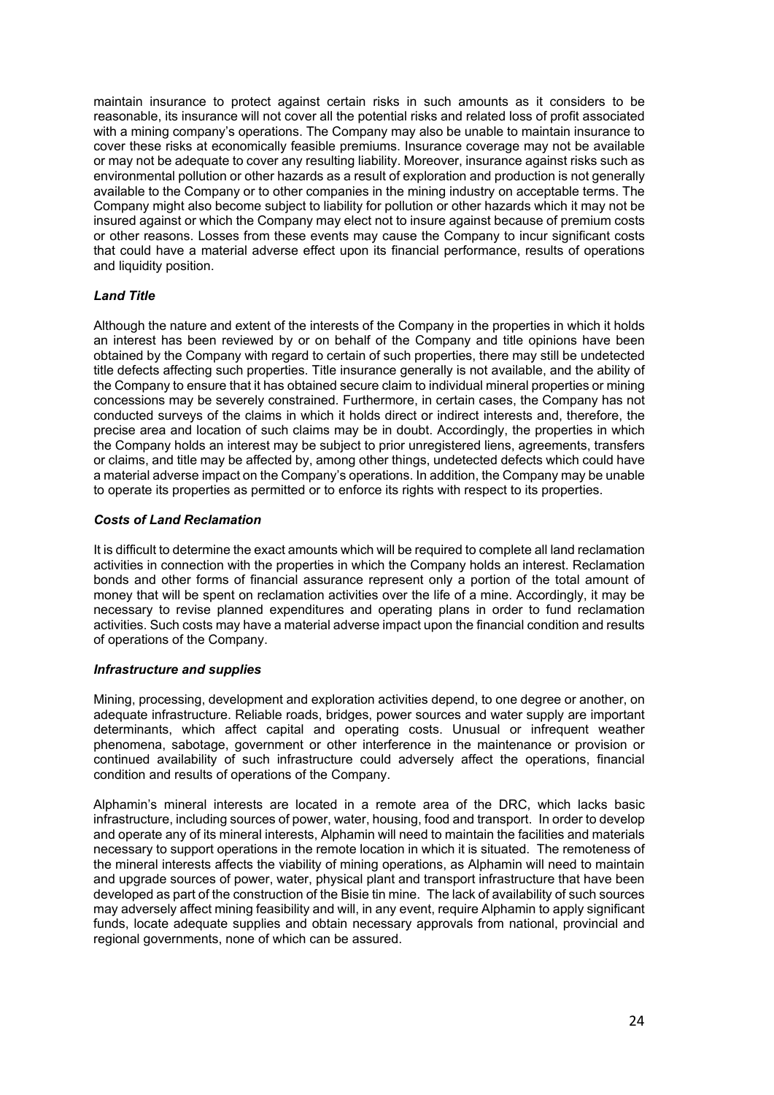maintain insurance to protect against certain risks in such amounts as it considers to be reasonable, its insurance will not cover all the potential risks and related loss of profit associated with a mining company's operations. The Company may also be unable to maintain insurance to cover these risks at economically feasible premiums. Insurance coverage may not be available or may not be adequate to cover any resulting liability. Moreover, insurance against risks such as environmental pollution or other hazards as a result of exploration and production is not generally available to the Company or to other companies in the mining industry on acceptable terms. The Company might also become subject to liability for pollution or other hazards which it may not be insured against or which the Company may elect not to insure against because of premium costs or other reasons. Losses from these events may cause the Company to incur significant costs that could have a material adverse effect upon its financial performance, results of operations and liquidity position.

### *Land Title*

Although the nature and extent of the interests of the Company in the properties in which it holds an interest has been reviewed by or on behalf of the Company and title opinions have been obtained by the Company with regard to certain of such properties, there may still be undetected title defects affecting such properties. Title insurance generally is not available, and the ability of the Company to ensure that it has obtained secure claim to individual mineral properties or mining concessions may be severely constrained. Furthermore, in certain cases, the Company has not conducted surveys of the claims in which it holds direct or indirect interests and, therefore, the precise area and location of such claims may be in doubt. Accordingly, the properties in which the Company holds an interest may be subject to prior unregistered liens, agreements, transfers or claims, and title may be affected by, among other things, undetected defects which could have a material adverse impact on the Company's operations. In addition, the Company may be unable to operate its properties as permitted or to enforce its rights with respect to its properties.

### *Costs of Land Reclamation*

It is difficult to determine the exact amounts which will be required to complete all land reclamation activities in connection with the properties in which the Company holds an interest. Reclamation bonds and other forms of financial assurance represent only a portion of the total amount of money that will be spent on reclamation activities over the life of a mine. Accordingly, it may be necessary to revise planned expenditures and operating plans in order to fund reclamation activities. Such costs may have a material adverse impact upon the financial condition and results of operations of the Company.

### *Infrastructure and supplies*

Mining, processing, development and exploration activities depend, to one degree or another, on adequate infrastructure. Reliable roads, bridges, power sources and water supply are important determinants, which affect capital and operating costs. Unusual or infrequent weather phenomena, sabotage, government or other interference in the maintenance or provision or continued availability of such infrastructure could adversely affect the operations, financial condition and results of operations of the Company.

Alphamin's mineral interests are located in a remote area of the DRC, which lacks basic infrastructure, including sources of power, water, housing, food and transport. In order to develop and operate any of its mineral interests, Alphamin will need to maintain the facilities and materials necessary to support operations in the remote location in which it is situated. The remoteness of the mineral interests affects the viability of mining operations, as Alphamin will need to maintain and upgrade sources of power, water, physical plant and transport infrastructure that have been developed as part of the construction of the Bisie tin mine. The lack of availability of such sources may adversely affect mining feasibility and will, in any event, require Alphamin to apply significant funds, locate adequate supplies and obtain necessary approvals from national, provincial and regional governments, none of which can be assured.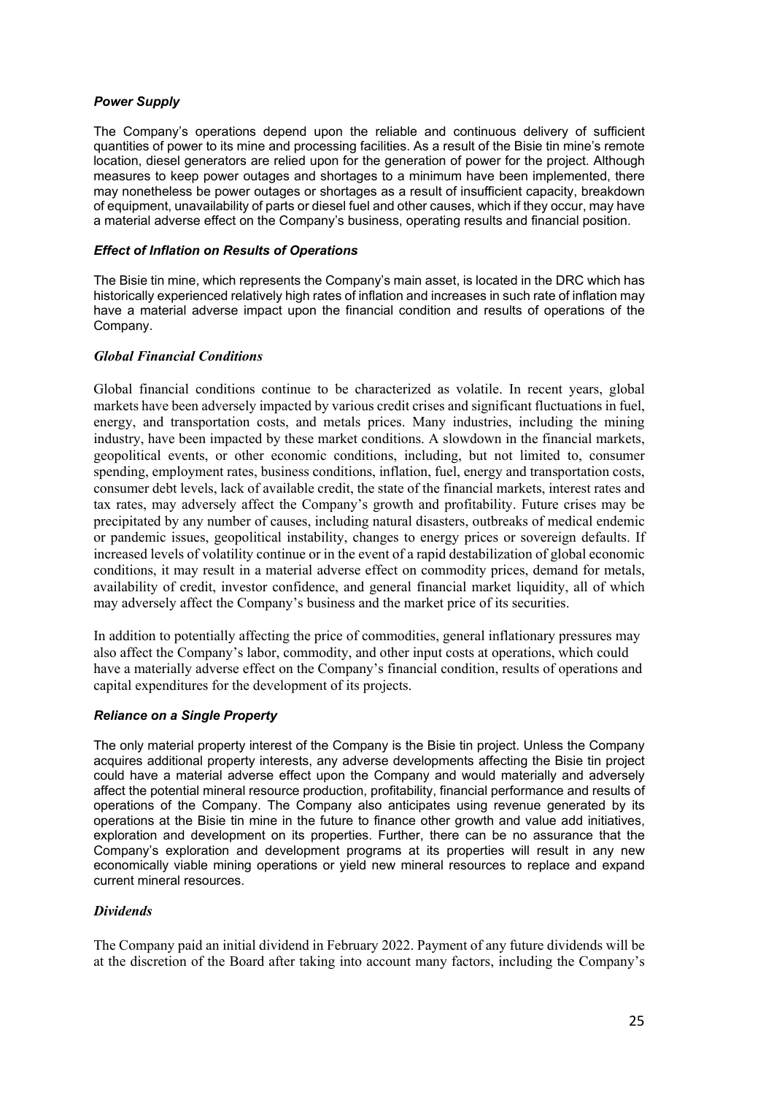## *Power Supply*

The Company's operations depend upon the reliable and continuous delivery of sufficient quantities of power to its mine and processing facilities. As a result of the Bisie tin mine's remote location, diesel generators are relied upon for the generation of power for the project. Although measures to keep power outages and shortages to a minimum have been implemented, there may nonetheless be power outages or shortages as a result of insufficient capacity, breakdown of equipment, unavailability of parts or diesel fuel and other causes, which if they occur, may have a material adverse effect on the Company's business, operating results and financial position.

#### *Effect of Inflation on Results of Operations*

The Bisie tin mine, which represents the Company's main asset, is located in the DRC which has historically experienced relatively high rates of inflation and increases in such rate of inflation may have a material adverse impact upon the financial condition and results of operations of the Company.

### *Global Financial Conditions*

Global financial conditions continue to be characterized as volatile. In recent years, global markets have been adversely impacted by various credit crises and significant fluctuations in fuel, energy, and transportation costs, and metals prices. Many industries, including the mining industry, have been impacted by these market conditions. A slowdown in the financial markets, geopolitical events, or other economic conditions, including, but not limited to, consumer spending, employment rates, business conditions, inflation, fuel, energy and transportation costs, consumer debt levels, lack of available credit, the state of the financial markets, interest rates and tax rates, may adversely affect the Company's growth and profitability. Future crises may be precipitated by any number of causes, including natural disasters, outbreaks of medical endemic or pandemic issues, geopolitical instability, changes to energy prices or sovereign defaults. If increased levels of volatility continue or in the event of a rapid destabilization of global economic conditions, it may result in a material adverse effect on commodity prices, demand for metals, availability of credit, investor confidence, and general financial market liquidity, all of which may adversely affect the Company's business and the market price of its securities.

In addition to potentially affecting the price of commodities, general inflationary pressures may also affect the Company's labor, commodity, and other input costs at operations, which could have a materially adverse effect on the Company's financial condition, results of operations and capital expenditures for the development of its projects.

### *Reliance on a Single Property*

The only material property interest of the Company is the Bisie tin project. Unless the Company acquires additional property interests, any adverse developments affecting the Bisie tin project could have a material adverse effect upon the Company and would materially and adversely affect the potential mineral resource production, profitability, financial performance and results of operations of the Company. The Company also anticipates using revenue generated by its operations at the Bisie tin mine in the future to finance other growth and value add initiatives, exploration and development on its properties. Further, there can be no assurance that the Company's exploration and development programs at its properties will result in any new economically viable mining operations or yield new mineral resources to replace and expand current mineral resources.

### *Dividends*

The Company paid an initial dividend in February 2022. Payment of any future dividends will be at the discretion of the Board after taking into account many factors, including the Company's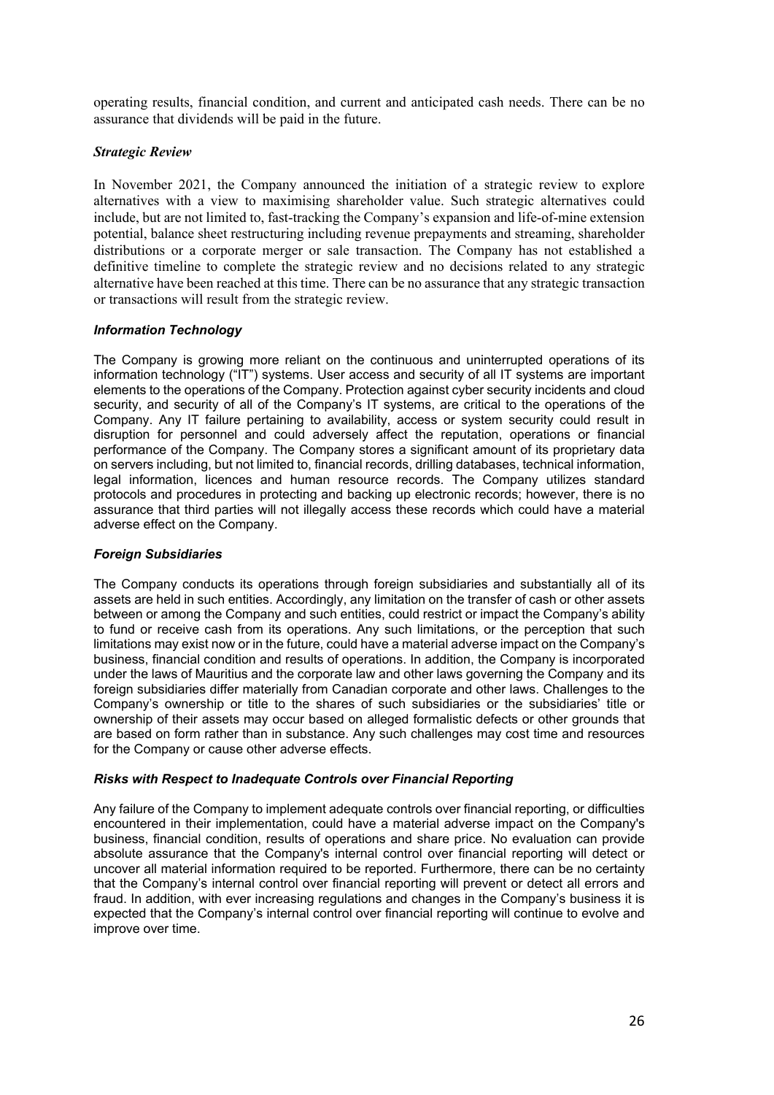operating results, financial condition, and current and anticipated cash needs. There can be no assurance that dividends will be paid in the future.

### *Strategic Review*

In November 2021, the Company announced the initiation of a strategic review to explore alternatives with a view to maximising shareholder value. Such strategic alternatives could include, but are not limited to, fast-tracking the Company's expansion and life-of-mine extension potential, balance sheet restructuring including revenue prepayments and streaming, shareholder distributions or a corporate merger or sale transaction. The Company has not established a definitive timeline to complete the strategic review and no decisions related to any strategic alternative have been reached at this time. There can be no assurance that any strategic transaction or transactions will result from the strategic review.

## *Information Technology*

The Company is growing more reliant on the continuous and uninterrupted operations of its information technology ("IT") systems. User access and security of all IT systems are important elements to the operations of the Company. Protection against cyber security incidents and cloud security, and security of all of the Company's IT systems, are critical to the operations of the Company. Any IT failure pertaining to availability, access or system security could result in disruption for personnel and could adversely affect the reputation, operations or financial performance of the Company. The Company stores a significant amount of its proprietary data on servers including, but not limited to, financial records, drilling databases, technical information, legal information, licences and human resource records. The Company utilizes standard protocols and procedures in protecting and backing up electronic records; however, there is no assurance that third parties will not illegally access these records which could have a material adverse effect on the Company.

### *Foreign Subsidiaries*

The Company conducts its operations through foreign subsidiaries and substantially all of its assets are held in such entities. Accordingly, any limitation on the transfer of cash or other assets between or among the Company and such entities, could restrict or impact the Company's ability to fund or receive cash from its operations. Any such limitations, or the perception that such limitations may exist now or in the future, could have a material adverse impact on the Company's business, financial condition and results of operations. In addition, the Company is incorporated under the laws of Mauritius and the corporate law and other laws governing the Company and its foreign subsidiaries differ materially from Canadian corporate and other laws. Challenges to the Company's ownership or title to the shares of such subsidiaries or the subsidiaries' title or ownership of their assets may occur based on alleged formalistic defects or other grounds that are based on form rather than in substance. Any such challenges may cost time and resources for the Company or cause other adverse effects.

### *Risks with Respect to Inadequate Controls over Financial Reporting*

Any failure of the Company to implement adequate controls over financial reporting, or difficulties encountered in their implementation, could have a material adverse impact on the Company's business, financial condition, results of operations and share price. No evaluation can provide absolute assurance that the Company's internal control over financial reporting will detect or uncover all material information required to be reported. Furthermore, there can be no certainty that the Company's internal control over financial reporting will prevent or detect all errors and fraud. In addition, with ever increasing regulations and changes in the Company's business it is expected that the Company's internal control over financial reporting will continue to evolve and improve over time.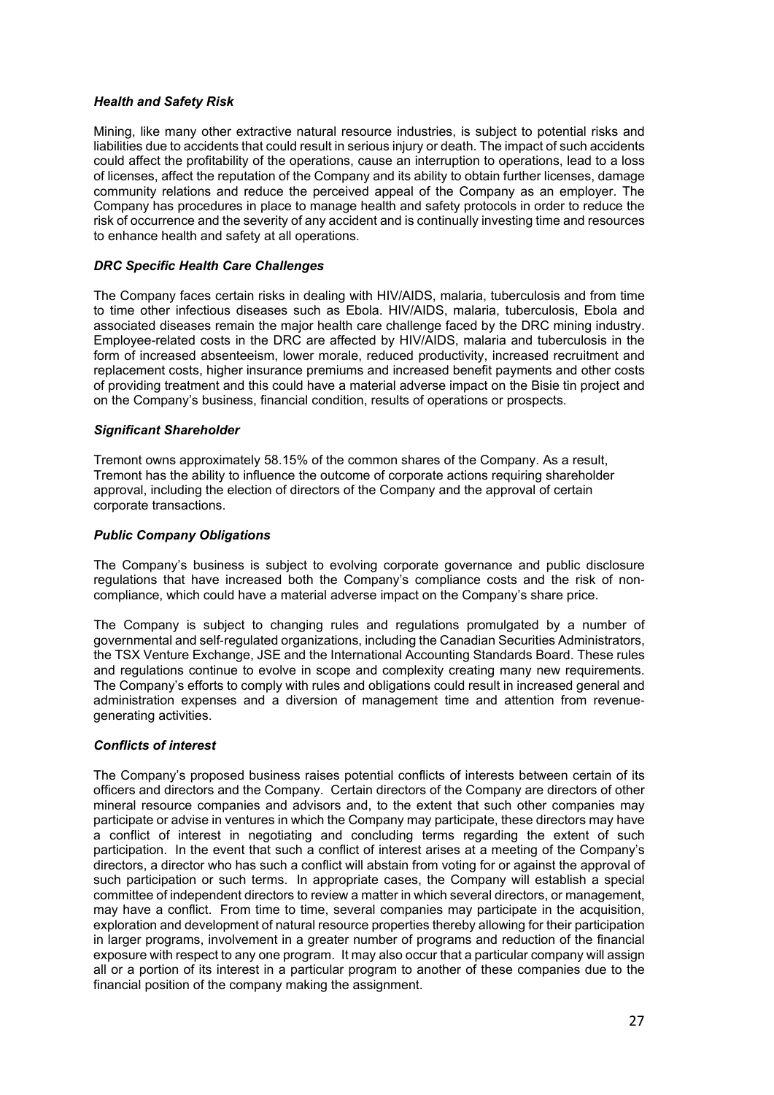### *Health and Safety Risk*

Mining, like many other extractive natural resource industries, is subject to potential risks and liabilities due to accidents that could result in serious injury or death. The impact of such accidents could affect the profitability of the operations, cause an interruption to operations, lead to a loss of licenses, affect the reputation of the Company and its ability to obtain further licenses, damage community relations and reduce the perceived appeal of the Company as an employer. The Company has procedures in place to manage health and safety protocols in order to reduce the risk of occurrence and the severity of any accident and is continually investing time and resources to enhance health and safety at all operations.

#### *DRC Specific Health Care Challenges*

The Company faces certain risks in dealing with HIV/AIDS, malaria, tuberculosis and from time to time other infectious diseases such as Ebola. HIV/AIDS, malaria, tuberculosis, Ebola and associated diseases remain the major health care challenge faced by the DRC mining industry. Employee-related costs in the DRC are affected by HIV/AIDS, malaria and tuberculosis in the form of increased absenteeism, lower morale, reduced productivity, increased recruitment and replacement costs, higher insurance premiums and increased benefit payments and other costs of providing treatment and this could have a material adverse impact on the Bisie tin project and on the Company's business, financial condition, results of operations or prospects.

#### *Significant Shareholder*

Tremont owns approximately 58.15% of the common shares of the Company. As a result, Tremont has the ability to influence the outcome of corporate actions requiring shareholder approval, including the election of directors of the Company and the approval of certain corporate transactions.

#### *Public Company Obligations*

The Company's business is subject to evolving corporate governance and public disclosure regulations that have increased both the Company's compliance costs and the risk of non‐ compliance, which could have a material adverse impact on the Company's share price.

The Company is subject to changing rules and regulations promulgated by a number of governmental and self‐regulated organizations, including the Canadian Securities Administrators, the TSX Venture Exchange, JSE and the International Accounting Standards Board. These rules and regulations continue to evolve in scope and complexity creating many new requirements. The Company's efforts to comply with rules and obligations could result in increased general and administration expenses and a diversion of management time and attention from revenue‐ generating activities.

### *Conflicts of interest*

The Company's proposed business raises potential conflicts of interests between certain of its officers and directors and the Company. Certain directors of the Company are directors of other mineral resource companies and advisors and, to the extent that such other companies may participate or advise in ventures in which the Company may participate, these directors may have a conflict of interest in negotiating and concluding terms regarding the extent of such participation. In the event that such a conflict of interest arises at a meeting of the Company's directors, a director who has such a conflict will abstain from voting for or against the approval of such participation or such terms. In appropriate cases, the Company will establish a special committee of independent directors to review a matter in which several directors, or management, may have a conflict. From time to time, several companies may participate in the acquisition, exploration and development of natural resource properties thereby allowing for their participation in larger programs, involvement in a greater number of programs and reduction of the financial exposure with respect to any one program. It may also occur that a particular company will assign all or a portion of its interest in a particular program to another of these companies due to the financial position of the company making the assignment.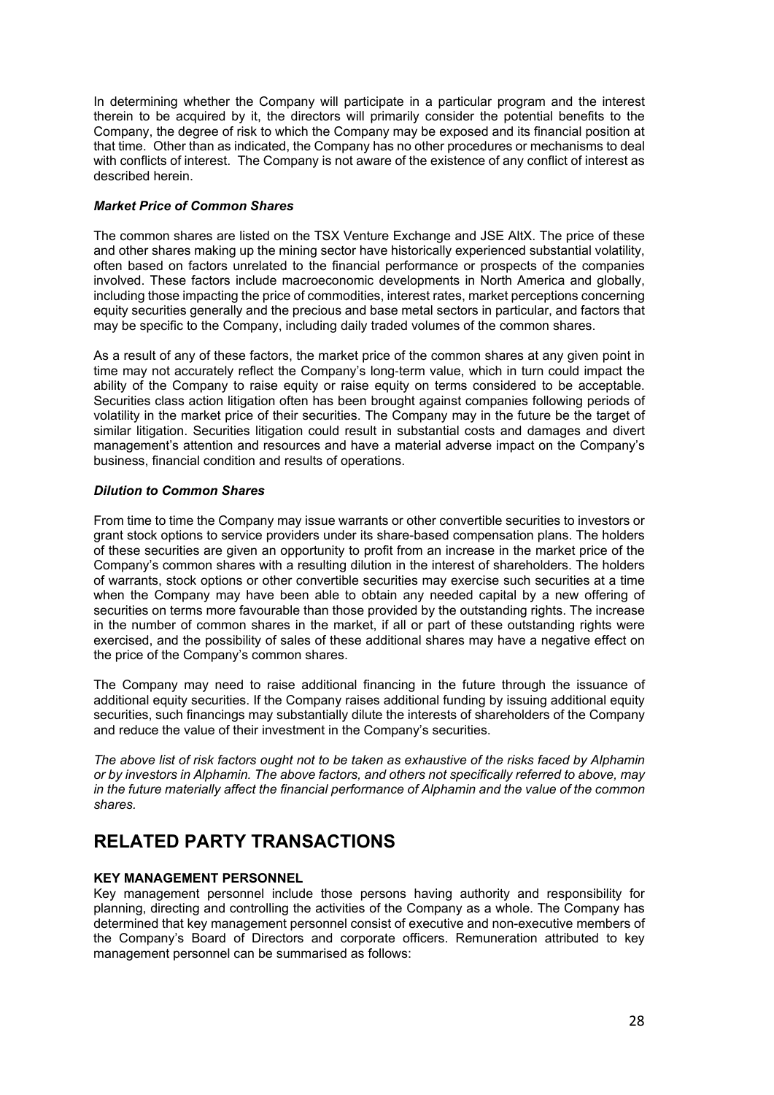In determining whether the Company will participate in a particular program and the interest therein to be acquired by it, the directors will primarily consider the potential benefits to the Company, the degree of risk to which the Company may be exposed and its financial position at that time. Other than as indicated, the Company has no other procedures or mechanisms to deal with conflicts of interest. The Company is not aware of the existence of any conflict of interest as described herein.

### *Market Price of Common Shares*

The common shares are listed on the TSX Venture Exchange and JSE AltX. The price of these and other shares making up the mining sector have historically experienced substantial volatility, often based on factors unrelated to the financial performance or prospects of the companies involved. These factors include macroeconomic developments in North America and globally, including those impacting the price of commodities, interest rates, market perceptions concerning equity securities generally and the precious and base metal sectors in particular, and factors that may be specific to the Company, including daily traded volumes of the common shares.

As a result of any of these factors, the market price of the common shares at any given point in time may not accurately reflect the Company's long-term value, which in turn could impact the ability of the Company to raise equity or raise equity on terms considered to be acceptable. Securities class action litigation often has been brought against companies following periods of volatility in the market price of their securities. The Company may in the future be the target of similar litigation. Securities litigation could result in substantial costs and damages and divert management's attention and resources and have a material adverse impact on the Company's business, financial condition and results of operations.

### *Dilution to Common Shares*

From time to time the Company may issue warrants or other convertible securities to investors or grant stock options to service providers under its share-based compensation plans. The holders of these securities are given an opportunity to profit from an increase in the market price of the Company's common shares with a resulting dilution in the interest of shareholders. The holders of warrants, stock options or other convertible securities may exercise such securities at a time when the Company may have been able to obtain any needed capital by a new offering of securities on terms more favourable than those provided by the outstanding rights. The increase in the number of common shares in the market, if all or part of these outstanding rights were exercised, and the possibility of sales of these additional shares may have a negative effect on the price of the Company's common shares.

The Company may need to raise additional financing in the future through the issuance of additional equity securities. If the Company raises additional funding by issuing additional equity securities, such financings may substantially dilute the interests of shareholders of the Company and reduce the value of their investment in the Company's securities.

*The above list of risk factors ought not to be taken as exhaustive of the risks faced by Alphamin or by investors in Alphamin. The above factors, and others not specifically referred to above, may in the future materially affect the financial performance of Alphamin and the value of the common shares.*

## <span id="page-27-0"></span>**RELATED PARTY TRANSACTIONS**

### **KEY MANAGEMENT PERSONNEL**

Key management personnel include those persons having authority and responsibility for planning, directing and controlling the activities of the Company as a whole. The Company has determined that key management personnel consist of executive and non-executive members of the Company's Board of Directors and corporate officers. Remuneration attributed to key management personnel can be summarised as follows: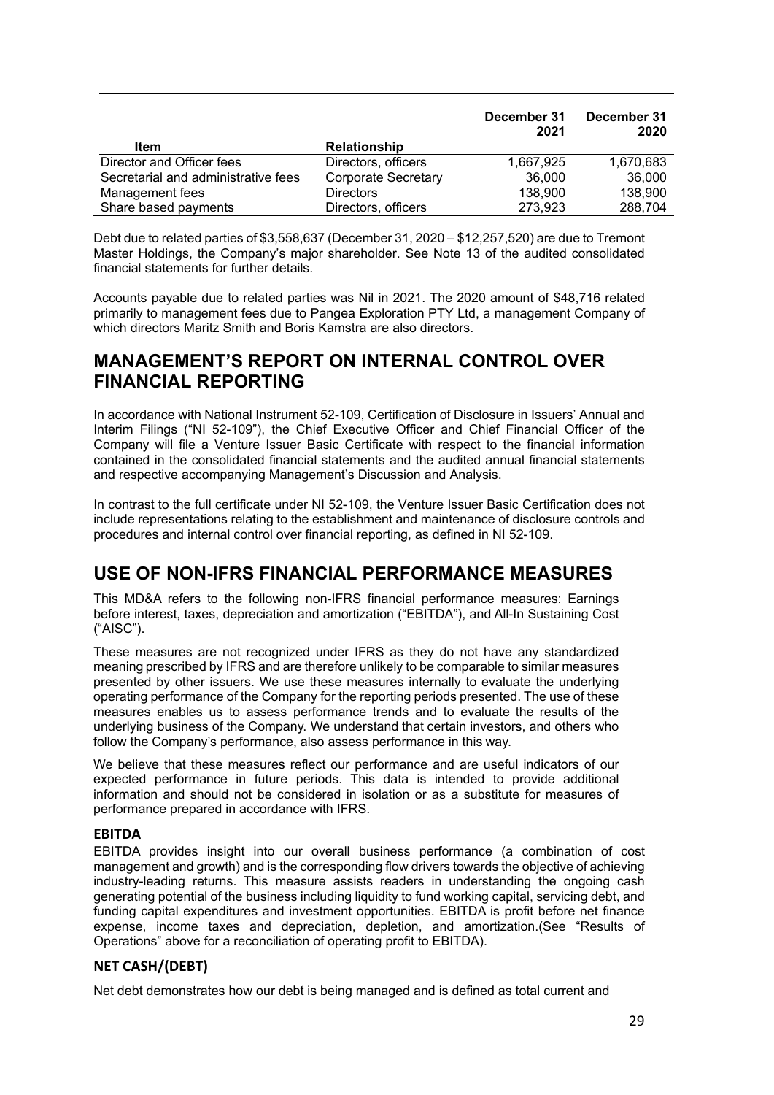|                                     |                            | December 31<br>2021 | December 31<br>2020 |
|-------------------------------------|----------------------------|---------------------|---------------------|
| Item                                | <b>Relationship</b>        |                     |                     |
| Director and Officer fees           | Directors, officers        | 1,667,925           | 1,670,683           |
| Secretarial and administrative fees | <b>Corporate Secretary</b> | 36.000              | 36,000              |
| Management fees                     | <b>Directors</b>           | 138,900             | 138,900             |
| Share based payments                | Directors, officers        | 273,923             | 288,704             |

Debt due to related parties of \$3,558,637 (December 31, 2020 – \$12,257,520) are due to Tremont Master Holdings, the Company's major shareholder. See Note 13 of the audited consolidated financial statements for further details.

Accounts payable due to related parties was Nil in 2021. The 2020 amount of \$48,716 related primarily to management fees due to Pangea Exploration PTY Ltd, a management Company of which directors Maritz Smith and Boris Kamstra are also directors.

## <span id="page-28-0"></span>**MANAGEMENT'S REPORT ON INTERNAL CONTROL OVER FINANCIAL REPORTING**

In accordance with National Instrument 52-109, Certification of Disclosure in Issuers' Annual and Interim Filings ("NI 52-109"), the Chief Executive Officer and Chief Financial Officer of the Company will file a Venture Issuer Basic Certificate with respect to the financial information contained in the consolidated financial statements and the audited annual financial statements and respective accompanying Management's Discussion and Analysis.

In contrast to the full certificate under NI 52-109, the Venture Issuer Basic Certification does not include representations relating to the establishment and maintenance of disclosure controls and procedures and internal control over financial reporting, as defined in NI 52-109.

## <span id="page-28-1"></span>**USE OF NON-IFRS FINANCIAL PERFORMANCE MEASURES**

This MD&A refers to the following non-IFRS financial performance measures: Earnings before interest, taxes, depreciation and amortization ("EBITDA"), and All-In Sustaining Cost ("AISC").

These measures are not recognized under IFRS as they do not have any standardized meaning prescribed by IFRS and are therefore unlikely to be comparable to similar measures presented by other issuers. We use these measures internally to evaluate the underlying operating performance of the Company for the reporting periods presented. The use of these measures enables us to assess performance trends and to evaluate the results of the underlying business of the Company. We understand that certain investors, and others who follow the Company's performance, also assess performance in this way.

We believe that these measures reflect our performance and are useful indicators of our expected performance in future periods. This data is intended to provide additional information and should not be considered in isolation or as a substitute for measures of performance prepared in accordance with IFRS.

### **EBITDA**

EBITDA provides insight into our overall business performance (a combination of cost management and growth) and is the corresponding flow drivers towards the objective of achieving industry-leading returns. This measure assists readers in understanding the ongoing cash generating potential of the business including liquidity to fund working capital, servicing debt, and funding capital expenditures and investment opportunities. EBITDA is profit before net finance expense, income taxes and depreciation, depletion, and amortization.(See "Results of Operations" above for a reconciliation of operating profit to EBITDA).

## **NET CASH/(DEBT)**

Net debt demonstrates how our debt is being managed and is defined as total current and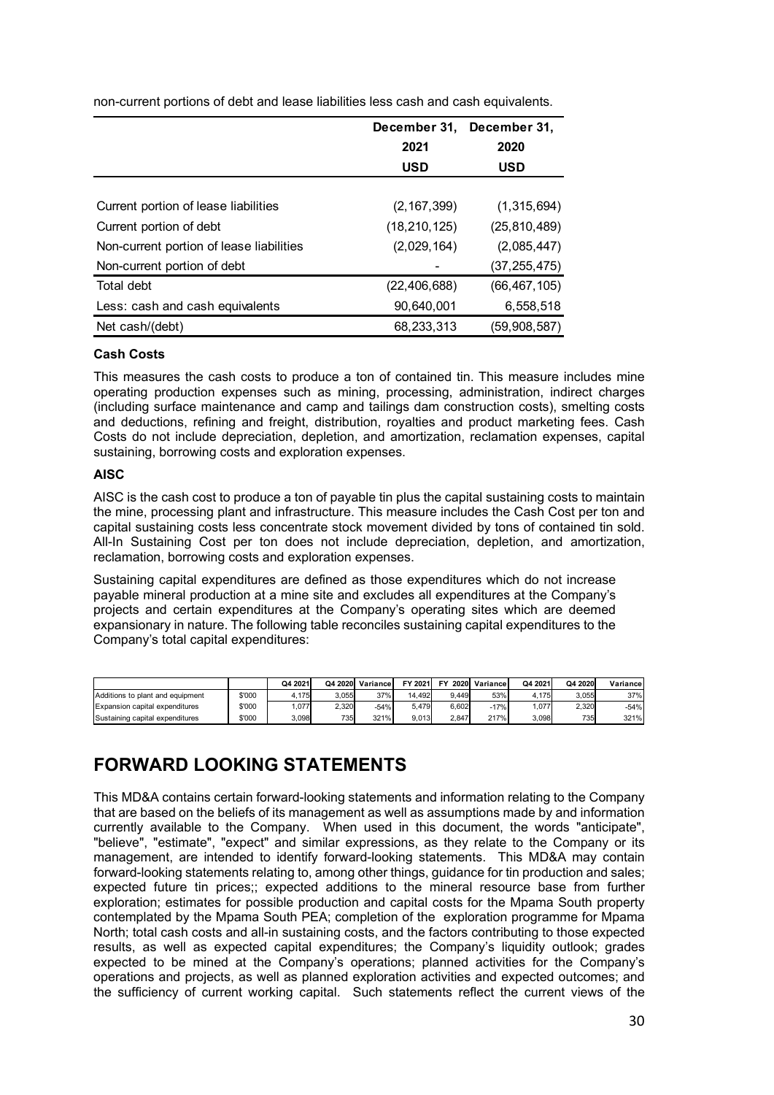|                                          | December 31,   | December 31,   |
|------------------------------------------|----------------|----------------|
|                                          | 2021           | 2020           |
|                                          | <b>USD</b>     | <b>USD</b>     |
|                                          |                |                |
| Current portion of lease liabilities     | (2, 167, 399)  | (1,315,694)    |
| Current portion of debt                  | (18, 210, 125) | (25, 810, 489) |
| Non-current portion of lease liabilities | (2,029,164)    | (2,085,447)    |
| Non-current portion of debt              |                | (37, 255, 475) |
| Total debt                               | (22, 406, 688) | (66, 467, 105) |
| Less: cash and cash equivalents          | 90,640,001     | 6,558,518      |
| Net cash/(debt)                          | 68,233,313     | (59, 908, 587) |

non-current portions of debt and lease liabilities less cash and cash equivalents.

#### **Cash Costs**

This measures the cash costs to produce a ton of contained tin. This measure includes mine operating production expenses such as mining, processing, administration, indirect charges (including surface maintenance and camp and tailings dam construction costs), smelting costs and deductions, refining and freight, distribution, royalties and product marketing fees. Cash Costs do not include depreciation, depletion, and amortization, reclamation expenses, capital sustaining, borrowing costs and exploration expenses.

#### **AISC**

AISC is the cash cost to produce a ton of payable tin plus the capital sustaining costs to maintain the mine, processing plant and infrastructure. This measure includes the Cash Cost per ton and capital sustaining costs less concentrate stock movement divided by tons of contained tin sold. All-In Sustaining Cost per ton does not include depreciation, depletion, and amortization, reclamation, borrowing costs and exploration expenses.

Sustaining capital expenditures are defined as those expenditures which do not increase payable mineral production at a mine site and excludes all expenditures at the Company's projects and certain expenditures at the Company's operating sites which are deemed expansionary in nature. The following table reconciles sustaining capital expenditures to the Company's total capital expenditures:

|                                  |        | Q4 2021 | Q4 2020 | Variancel | FY 2021 | EV<br>2020 | Variance | Q4 2021 | Q4 2020 | Variance |
|----------------------------------|--------|---------|---------|-----------|---------|------------|----------|---------|---------|----------|
| Additions to plant and equipment | \$'000 | 4.175   | 3.055   | 37%       | 14.492  | 9.449      | 53%      | .175    | 3.055   | 37%      |
| Expansion capital expenditures   | \$'000 | .077    | 2.320   | $-54%$    | 5.479   | 6.602      | $-17%$   | .077    | 2.320   | $-54%$   |
| Sustaining capital expenditures  | \$'000 | 3.098   | 735     | 321%      | 9.013   | 2.847      | 217%     | 3.098   | 735     | 321%     |

# <span id="page-29-0"></span>**FORWARD LOOKING STATEMENTS**

This MD&A contains certain forward-looking statements and information relating to the Company that are based on the beliefs of its management as well as assumptions made by and information currently available to the Company. When used in this document, the words "anticipate", "believe", "estimate", "expect" and similar expressions, as they relate to the Company or its management, are intended to identify forward-looking statements. This MD&A may contain forward-looking statements relating to, among other things, guidance for tin production and sales; expected future tin prices;; expected additions to the mineral resource base from further exploration; estimates for possible production and capital costs for the Mpama South property contemplated by the Mpama South PEA; completion of the exploration programme for Mpama North; total cash costs and all-in sustaining costs, and the factors contributing to those expected results, as well as expected capital expenditures; the Company's liquidity outlook; grades expected to be mined at the Company's operations; planned activities for the Company's operations and projects, as well as planned exploration activities and expected outcomes; and the sufficiency of current working capital. Such statements reflect the current views of the